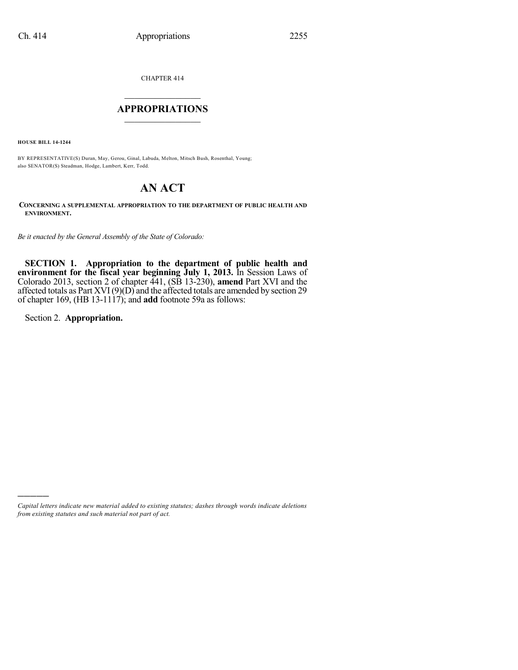CHAPTER 414

# $\mathcal{L}_\text{max}$  . The set of the set of the set of the set of the set of the set of the set of the set of the set of the set of the set of the set of the set of the set of the set of the set of the set of the set of the set **APPROPRIATIONS**  $\_$   $\_$   $\_$   $\_$   $\_$   $\_$   $\_$   $\_$

**HOUSE BILL 14-1244**

BY REPRESENTATIVE(S) Duran, May, Gerou, Ginal, Labuda, Melton, Mitsch Bush, Rosenthal, Young; also SENATOR(S) Steadman, Hodge, Lambert, Kerr, Todd.

# **AN ACT**

**CONCERNING A SUPPLEMENTAL APPROPRIATION TO THE DEPARTMENT OF PUBLIC HEALTH AND ENVIRONMENT.**

*Be it enacted by the General Assembly of the State of Colorado:*

**SECTION 1. Appropriation to the department of public health and environment for the fiscal year beginning July 1, 2013.** In Session Laws of Colorado 2013, section 2 of chapter 441, (SB 13-230), **amend** Part XVI and the affected totals as Part XVI $(9)(D)$  and the affected totals are amended by section 29 of chapter 169, (HB 13-1117); and **add** footnote 59a as follows:

Section 2. **Appropriation.**

)))))

*Capital letters indicate new material added to existing statutes; dashes through words indicate deletions from existing statutes and such material not part of act.*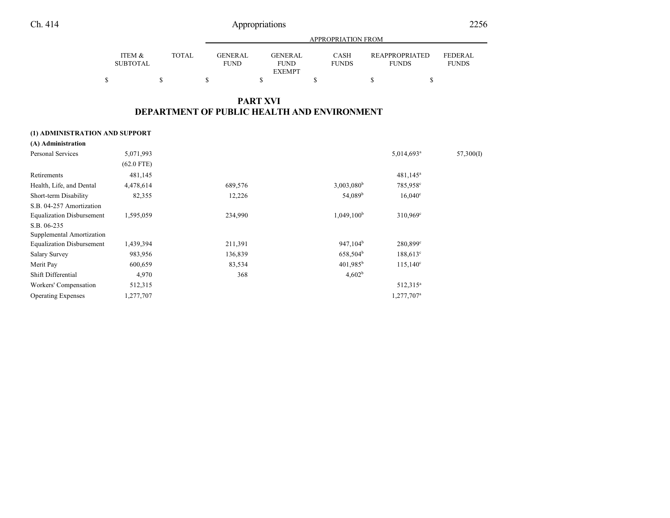|                           |        |                               | APPROPRIATION FROM                             |                      |                                       |                                |  |  |  |  |
|---------------------------|--------|-------------------------------|------------------------------------------------|----------------------|---------------------------------------|--------------------------------|--|--|--|--|
| ITEM &<br><b>SUBTOTAL</b> | TOTAL. | <b>GENERAL</b><br><b>FUND</b> | <b>GENERAL</b><br><b>FUND</b><br><b>EXEMPT</b> | CASH<br><b>FUNDS</b> | <b>REAPPROPRIATED</b><br><b>FUNDS</b> | <b>FEDERAL</b><br><b>FUNDS</b> |  |  |  |  |
|                           |        |                               |                                                |                      |                                       |                                |  |  |  |  |

## **PART XVI DEPARTMENT OF PUBLIC HEALTH AND ENVIRONMENT**

### **(1) ADMINISTRATION AND SUPPORT**

| (A) Administration               |              |         |                      |                        |           |
|----------------------------------|--------------|---------|----------------------|------------------------|-----------|
| Personal Services                | 5,071,993    |         |                      | 5,014,693 <sup>a</sup> | 57,300(I) |
|                                  | $(62.0$ FTE) |         |                      |                        |           |
| Retirements                      | 481,145      |         |                      | $481,145^a$            |           |
| Health, Life, and Dental         | 4,478,614    | 689,576 | $3,003,080^{\rm b}$  | 785,958°               |           |
| Short-term Disability            | 82,355       | 12,226  | 54,089 <sup>b</sup>  | $16,040^{\circ}$       |           |
| S.B. 04-257 Amortization         |              |         |                      |                        |           |
| <b>Equalization Disbursement</b> | 1,595,059    | 234,990 | $1,049,100^b$        | $310,969^{\circ}$      |           |
| S.B. 06-235                      |              |         |                      |                        |           |
| Supplemental Amortization        |              |         |                      |                        |           |
| <b>Equalization Disbursement</b> | 1,439,394    | 211,391 | $947,104^b$          | 280,899°               |           |
| <b>Salary Survey</b>             | 983,956      | 136,839 | 658,504 <sup>b</sup> | $188,613^{\circ}$      |           |
| Merit Pay                        | 600,659      | 83,534  | $401,985^{\rm b}$    | $115,140^{\circ}$      |           |
| Shift Differential               | 4,970        | 368     | 4,602 <sup>b</sup>   |                        |           |
| Workers' Compensation            | 512,315      |         |                      | 512,315 <sup>a</sup>   |           |
| <b>Operating Expenses</b>        | 1,277,707    |         |                      | 1,277,707 <sup>a</sup> |           |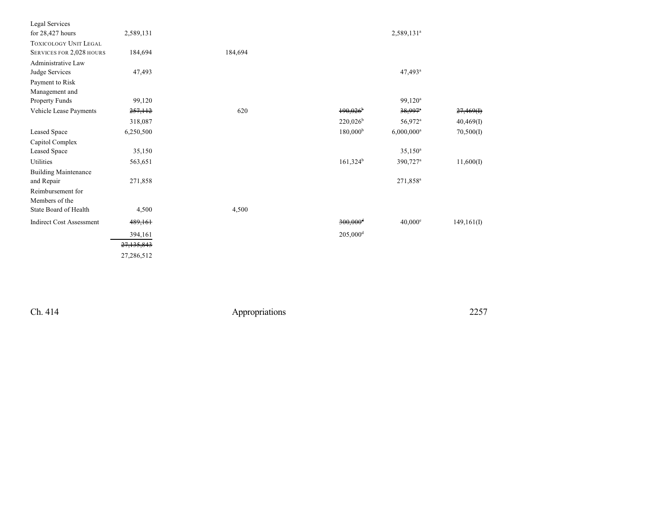| Legal Services                  |              |         |                        |                          |            |
|---------------------------------|--------------|---------|------------------------|--------------------------|------------|
| for $28,427$ hours              | 2,589,131    |         |                        | 2,589,131 <sup>a</sup>   |            |
| <b>TOXICOLOGY UNIT LEGAL</b>    |              |         |                        |                          |            |
| SERVICES FOR 2,028 HOURS        | 184,694      | 184,694 |                        |                          |            |
| Administrative Law              |              |         |                        |                          |            |
| Judge Services                  | 47,493       |         |                        | 47,493 <sup>a</sup>      |            |
| Payment to Risk                 |              |         |                        |                          |            |
| Management and                  |              |         |                        |                          |            |
| Property Funds                  | 99,120       |         |                        | $99,120^a$               |            |
| Vehicle Lease Payments          | 257,112      | 620     | $190,026$ <sup>b</sup> | $38,997$ <sup>a</sup>    | 27,469(f)  |
|                                 | 318,087      |         | $220,026^b$            | 56,972 <sup>a</sup>      | 40,469(I)  |
| Leased Space                    | 6,250,500    |         | 180,000 <sup>b</sup>   | $6,000,000$ <sup>a</sup> | 70,500(I)  |
| Capitol Complex                 |              |         |                        |                          |            |
| Leased Space                    | 35,150       |         |                        | $35,150^a$               |            |
| Utilities                       | 563,651      |         | $161,324^b$            | $390,727$ <sup>a</sup>   | 11,600(I)  |
| <b>Building Maintenance</b>     |              |         |                        |                          |            |
| and Repair                      | 271,858      |         |                        | 271,858 <sup>a</sup>     |            |
| Reimbursement for               |              |         |                        |                          |            |
| Members of the                  |              |         |                        |                          |            |
| State Board of Health           | 4,500        | 4,500   |                        |                          |            |
| <b>Indirect Cost Assessment</b> | 489,161      |         | $300,000$ <sup>d</sup> | $40,000^{\circ}$         | 149,161(I) |
|                                 | 394,161      |         | $205,000$ <sup>d</sup> |                          |            |
|                                 | 27, 135, 843 |         |                        |                          |            |
|                                 | 27,286,512   |         |                        |                          |            |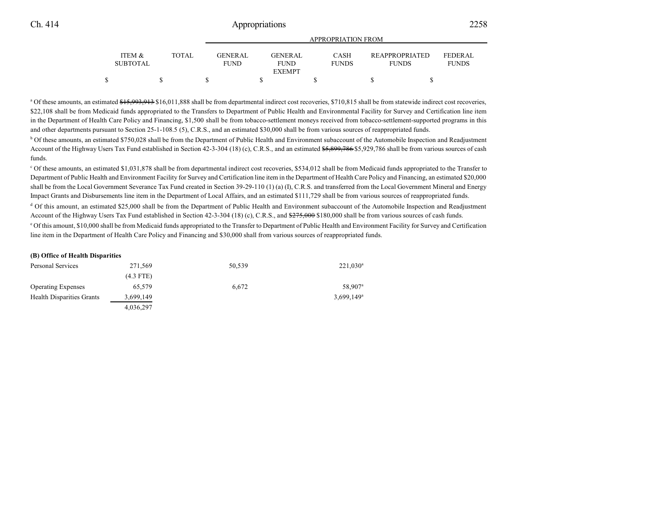|                                      |       | APPROPRIATION FROM             |  |                               |  |                             |  |                                       |  |                                |
|--------------------------------------|-------|--------------------------------|--|-------------------------------|--|-----------------------------|--|---------------------------------------|--|--------------------------------|
| <b>ITEM &amp;</b><br><b>SUBTOTAL</b> | TOTAL | <b>GENER AL</b><br><b>FUND</b> |  | <b>GENERAL</b><br><b>FUND</b> |  | <b>CASH</b><br><b>FUNDS</b> |  | <b>REAPPROPRIATED</b><br><b>FUNDS</b> |  | <b>FEDERAL</b><br><b>FUNDS</b> |
|                                      |       |                                |  | <b>EXEMPT</b>                 |  |                             |  |                                       |  |                                |
|                                      |       |                                |  |                               |  |                             |  |                                       |  |                                |

<sup>a</sup> Of these amounts, an estimated \$15,993,913 \$16,011,888 shall be from departmental indirect cost recoveries, \$710,815 shall be from statewide indirect cost recoveries, \$22,108 shall be from Medicaid funds appropriated to the Transfers to Department of Public Health and Environmental Facility for Survey and Certification line item in the Department of Health Care Policy and Financing, \$1,500 shall be from tobacco-settlement moneys received from tobacco-settlement-supported programs in this and other departments pursuant to Section 25-1-108.5 (5), C.R.S., and an estimated \$30,000 shall be from various sources of reappropriated funds.

<sup>b</sup> Of these amounts, an estimated \$750,028 shall be from the Department of Public Health and Environment subaccount of the Automobile Inspection and Readjustment Account of the Highway Users Tax Fund established in Section 42-3-304 (18) (c), C.R.S., and an estimated \$5,899,786 \$5,929,786 shall be from various sources of cash funds.

<sup>c</sup> Of these amounts, an estimated \$1,031,878 shall be from departmental indirect cost recoveries, \$534,012 shall be from Medicaid funds appropriated to the Transfer to Department of Public Health and Environment Facility for Survey and Certification line item in the Department of Health Care Policy and Financing, an estimated \$20,000 shall be from the Local Government Severance Tax Fund created in Section 39-29-110 (1) (a) (I), C.R.S. and transferred from the Local Government Mineral and Energy Impact Grants and Disbursements line item in the Department of Local Affairs, and an estimated \$111,729 shall be from various sources of reappropriated funds.

<sup>d</sup> Of this amount, an estimated \$25,000 shall be from the Department of Public Health and Environment subaccount of the Automobile Inspection and Readjustment Account of the Highway Users Tax Fund established in Section 42-3-304 (18) (c), C.R.S., and  $\frac{275,000}{275,000}$  \$180,000 shall be from various sources of cash funds.

<sup>e</sup> Of this amount, \$10,000 shall be from Medicaid funds appropriated to the Transfer to Department of Public Health and Environment Facility for Survey and Certification line item in the Department of Health Care Policy and Financing and \$30,000 shall from various sources of reappropriated funds.

#### **(B) Office of Health Disparities**

| Personal Services                | 271,569     | 50.539 | $221,030^a$              |
|----------------------------------|-------------|--------|--------------------------|
|                                  | $(4.3$ FTE) |        |                          |
| <b>Operating Expenses</b>        | 65.579      | 6.672  | 58.907 <sup>a</sup>      |
| <b>Health Disparities Grants</b> | 3,699,149   |        | $3.699.149$ <sup>a</sup> |
|                                  | 4,036,297   |        |                          |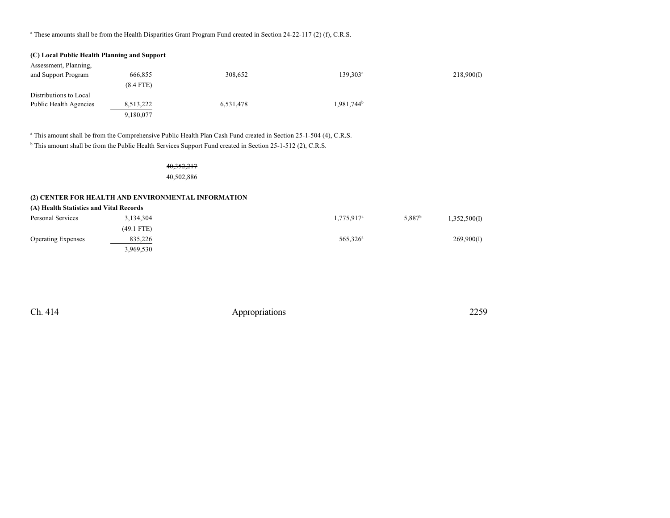a These amounts shall be from the Health Disparities Grant Program Fund created in Section 24-22-117 (2) (f), C.R.S.

| (C) Local Public Health Planning and Support |             |           |                        |            |
|----------------------------------------------|-------------|-----------|------------------------|------------|
| Assessment, Planning,                        |             |           |                        |            |
| and Support Program                          | 666,855     | 308,652   | $139.303^a$            | 218,900(I) |
|                                              | $(8.4$ FTE) |           |                        |            |
| Distributions to Local                       |             |           |                        |            |
| Public Health Agencies                       | 8,513,222   | 6,531,478 | 1.981.744 <sup>b</sup> |            |
|                                              | 9,180,077   |           |                        |            |

a This amount shall be from the Comprehensive Public Health Plan Cash Fund created in Section 25-1-504 (4), C.R.S.

<sup>b</sup> This amount shall be from the Public Health Services Support Fund created in Section 25-1-512 (2), C.R.S.

### 40,352,217

40,502,886

### **(2) CENTER FOR HEALTH AND ENVIRONMENTAL INFORMATION**

| (A) Health Statistics and Vital Records |              |                        |                                    |
|-----------------------------------------|--------------|------------------------|------------------------------------|
| Personal Services                       | 3,134,304    | 1,775,917 <sup>a</sup> | 5.887 <sup>b</sup><br>1,352,500(I) |
|                                         | $(49.1$ FTE) |                        |                                    |
| <b>Operating Expenses</b>               | 835,226      | 565.326 <sup>a</sup>   | 269,900(I)                         |
|                                         | 3,969,530    |                        |                                    |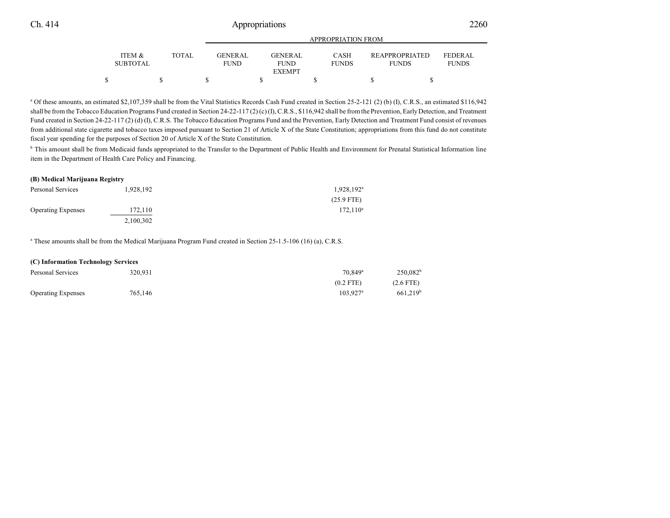|                                      |       | APPROPRIATION FROM       |  |                               |  |                             |  |                                |  |                                |  |
|--------------------------------------|-------|--------------------------|--|-------------------------------|--|-----------------------------|--|--------------------------------|--|--------------------------------|--|
| <b>ITEM &amp;</b><br><b>SUBTOTAL</b> | TOTAL | GENER AL.<br><b>FUND</b> |  | <b>GENERAL</b><br><b>FUND</b> |  | <b>CASH</b><br><b>FUNDS</b> |  | REAPPROPRIATED<br><b>FUNDS</b> |  | <b>FEDERAL</b><br><b>FUNDS</b> |  |
|                                      |       |                          |  | <b>EXEMPT</b>                 |  |                             |  |                                |  |                                |  |
|                                      |       |                          |  |                               |  |                             |  |                                |  |                                |  |

<sup>a</sup> Of these amounts, an estimated \$2,107,359 shall be from the Vital Statistics Records Cash Fund created in Section 25-2-121 (2) (b) (I), C.R.S., an estimated \$116,942 shall be from the Tobacco Education Programs Fund created in Section 24-22-117 (2) (c) (I), C.R.S., \$116,942 shall be from the Prevention, Early Detection, and Treatment Fund created in Section 24-22-117 (2) (d) (I), C.R.S. The Tobacco Education Programs Fund and the Prevention, Early Detection and Treatment Fund consist of revenues from additional state cigarette and tobacco taxes imposed pursuant to Section 21 of Article X of the State Constitution; appropriations from this fund do not constitute fiscal year spending for the purposes of Section 20 of Article X of the State Constitution.

<sup>b</sup> This amount shall be from Medicaid funds appropriated to the Transfer to the Department of Public Health and Environment for Prenatal Statistical Information line item in the Department of Health Care Policy and Financing.

#### **(B) Medical Marijuana Registry**

| Personal Services         | 1,928,192 | $1,928,192^a$ |
|---------------------------|-----------|---------------|
|                           |           | $(25.9$ FTE)  |
| <b>Operating Expenses</b> | 172,110   | $172.110^a$   |
|                           | 2,100,302 |               |

a These amounts shall be from the Medical Marijuana Program Fund created in Section 25-1.5-106 (16) (a), C.R.S.

#### **(C) Information Technology Services**

| Personal Services         | 320,931 | 70.849 <sup>a</sup>    | $250,082^b$          |
|---------------------------|---------|------------------------|----------------------|
|                           |         | $(0.2$ FTE)            | $(2.6$ FTE)          |
| <b>Operating Expenses</b> | 765,146 | $103.927$ <sup>a</sup> | 661.219 <sup>b</sup> |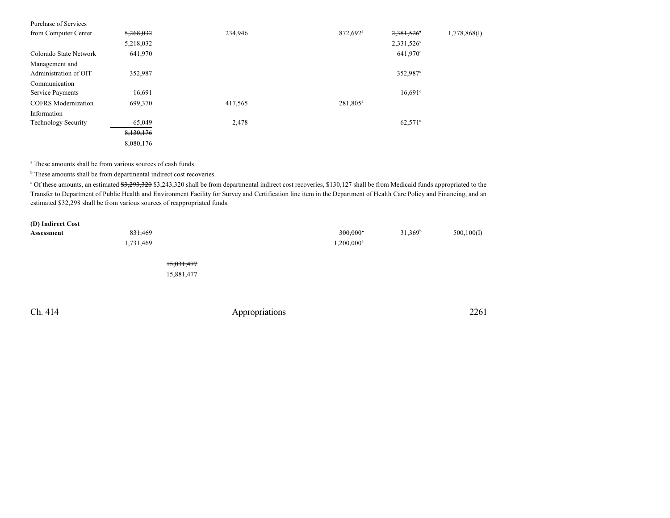| Purchase of Services                    |           |         |                      |                        |              |
|-----------------------------------------|-----------|---------|----------------------|------------------------|--------------|
| from Computer Center                    | 5,268,032 | 234,946 | 872,692 <sup>a</sup> | 2,381,526°             | 1,778,868(I) |
|                                         | 5,218,032 |         |                      | 2,331,526 <sup>c</sup> |              |
| Colorado State Network                  | 641,970   |         |                      | 641,970 <sup>c</sup>   |              |
| Management and<br>Administration of OIT | 352,987   |         |                      | 352,987°               |              |
| Communication                           |           |         |                      |                        |              |
| Service Payments                        | 16,691    |         |                      | $16,691$ °             |              |
| <b>COFRS</b> Modernization              | 699,370   | 417,565 | 281,805 <sup>a</sup> |                        |              |
| Information                             |           |         |                      |                        |              |
| <b>Technology Security</b>              | 65,049    | 2,478   |                      | $62,571^{\circ}$       |              |
|                                         | 8,130,176 |         |                      |                        |              |
|                                         | 8,080,176 |         |                      |                        |              |

a These amounts shall be from various sources of cash funds.

<sup>b</sup> These amounts shall be from departmental indirect cost recoveries.

<sup>c</sup> Of these amounts, an estimated \$3,293,320 \$3,243,320 shall be from departmental indirect cost recoveries, \$130,127 shall be from Medicaid funds appropriated to the Transfer to Department of Public Health and Environment Facility for Survey and Certification line item in the Department of Health Care Policy and Financing, and an estimated \$32,298 shall be from various sources of reappropriated funds.

| (D) Indirect Cost |           |            |                        |            |             |
|-------------------|-----------|------------|------------------------|------------|-------------|
| Assessment        | 831,469   |            | $300,000$ <sup>a</sup> | $31,369^b$ | 500, 100(I) |
|                   | 1,731,469 |            | $1,200,000^a$          |            |             |
|                   |           | 15,031,477 |                        |            |             |

15,881,477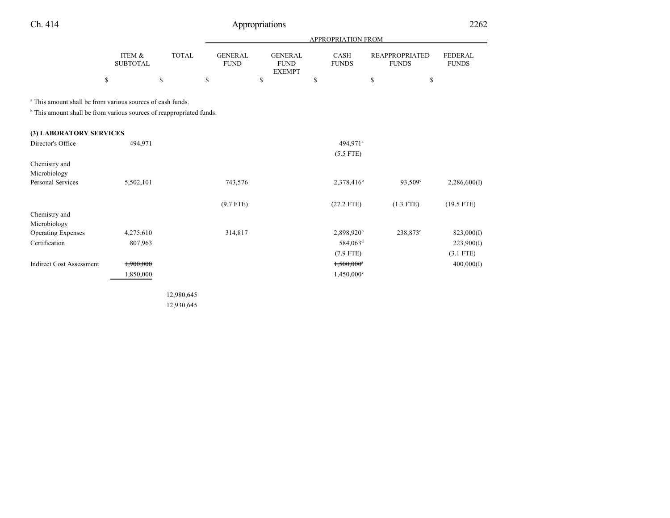| - 1 |
|-----|
|-----|

# Appropriations 2262

|                                                                                                                                                          |                           |              |                               |                                                |               | <b>APPROPRIATION FROM</b>   |                                       |                                |
|----------------------------------------------------------------------------------------------------------------------------------------------------------|---------------------------|--------------|-------------------------------|------------------------------------------------|---------------|-----------------------------|---------------------------------------|--------------------------------|
|                                                                                                                                                          | ITEM &<br><b>SUBTOTAL</b> | <b>TOTAL</b> | <b>GENERAL</b><br><b>FUND</b> | <b>GENERAL</b><br><b>FUND</b><br><b>EXEMPT</b> |               | <b>CASH</b><br><b>FUNDS</b> | <b>REAPPROPRIATED</b><br><b>FUNDS</b> | <b>FEDERAL</b><br><b>FUNDS</b> |
|                                                                                                                                                          | \$                        | \$           | \$                            | \$                                             | <sup>\$</sup> |                             | \$                                    | \$                             |
| <sup>a</sup> This amount shall be from various sources of cash funds.<br><sup>b</sup> This amount shall be from various sources of reappropriated funds. |                           |              |                               |                                                |               |                             |                                       |                                |
| (3) LABORATORY SERVICES                                                                                                                                  |                           |              |                               |                                                |               |                             |                                       |                                |
| Director's Office                                                                                                                                        | 494,971                   |              |                               |                                                |               | 494,971 <sup>a</sup>        |                                       |                                |
|                                                                                                                                                          |                           |              |                               |                                                |               | $(5.5$ FTE)                 |                                       |                                |
| Chemistry and                                                                                                                                            |                           |              |                               |                                                |               |                             |                                       |                                |
| Microbiology<br><b>Personal Services</b>                                                                                                                 |                           |              |                               |                                                |               |                             |                                       |                                |
|                                                                                                                                                          | 5,502,101                 |              | 743,576                       |                                                |               | $2,378,416^b$               | $93,509^{\circ}$                      | 2,286,600(I)                   |
|                                                                                                                                                          |                           |              | $(9.7$ FTE)                   |                                                |               | $(27.2$ FTE)                | $(1.3$ FTE)                           | $(19.5$ FTE)                   |
| Chemistry and                                                                                                                                            |                           |              |                               |                                                |               |                             |                                       |                                |
| Microbiology                                                                                                                                             |                           |              |                               |                                                |               |                             |                                       |                                |
| <b>Operating Expenses</b>                                                                                                                                | 4,275,610                 |              | 314,817                       |                                                |               | 2,898,920 <sup>b</sup>      | 238,873°                              | 823,000(I)                     |
| Certification                                                                                                                                            | 807,963                   |              |                               |                                                |               | 584,063 <sup>d</sup>        |                                       | 223,900(I)                     |
|                                                                                                                                                          |                           |              |                               |                                                |               | $(7.9$ FTE)                 |                                       | $(3.1$ FTE)                    |
| <b>Indirect Cost Assessment</b>                                                                                                                          | 1,900,000                 |              |                               |                                                |               | $1,500,000$ °               |                                       | 400,000(I)                     |
|                                                                                                                                                          | 1,850,000                 |              |                               |                                                |               | 1,450,000 <sup>e</sup>      |                                       |                                |

12,980,645 12,930,645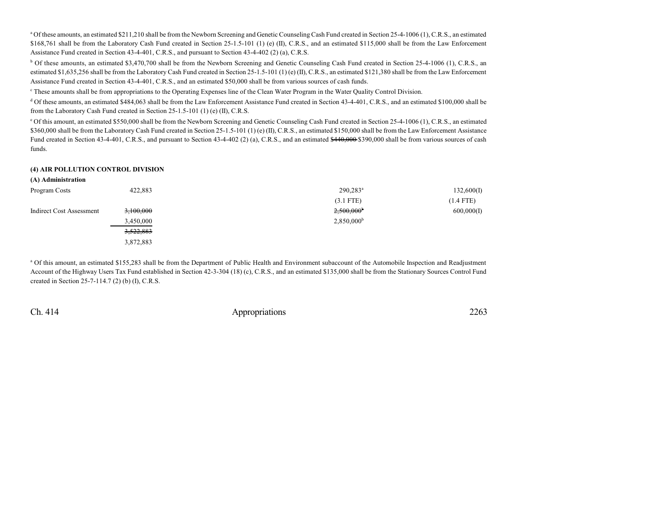<sup>a</sup> Of these amounts, an estimated \$211,210 shall be from the Newborn Screening and Genetic Counseling Cash Fund created in Section 25-4-1006 (1), C.R.S., an estimated \$168,761 shall be from the Laboratory Cash Fund created in Section 25-1.5-101 (1) (e) (II), C.R.S., and an estimated \$115,000 shall be from the Law Enforcement Assistance Fund created in Section 43-4-401, C.R.S., and pursuant to Section 43-4-402 (2) (a), C.R.S.

<sup>b</sup> Of these amounts, an estimated \$3,470,700 shall be from the Newborn Screening and Genetic Counseling Cash Fund created in Section 25-4-1006 (1), C.R.S., an estimated \$1,635,256 shall be from the Laboratory Cash Fund created in Section 25-1.5-101 (1) (e) (II), C.R.S., an estimated \$121,380 shall be from the Law Enforcement Assistance Fund created in Section 43-4-401, C.R.S., and an estimated \$50,000 shall be from various sources of cash funds.

c These amounts shall be from appropriations to the Operating Expenses line of the Clean Water Program in the Water Quality Control Division.

<sup>d</sup> Of these amounts, an estimated \$484,063 shall be from the Law Enforcement Assistance Fund created in Section 43-4-401, C.R.S., and an estimated \$100,000 shall be from the Laboratory Cash Fund created in Section 25-1.5-101 (1) (e) (II), C.R.S.

<sup>e</sup> Of this amount, an estimated \$550,000 shall be from the Newborn Screening and Genetic Counseling Cash Fund created in Section 25-4-1006 (1), C.R.S., an estimated \$360,000 shall be from the Laboratory Cash Fund created in Section 25-1.5-101 (1) (e) (II), C.R.S., an estimated \$150,000 shall be from the Law Enforcement Assistance Fund created in Section 43-4-401, C.R.S., and pursuant to Section 43-4-402 (2) (a), C.R.S., and an estimated \$440,000 \$390,000 shall be from various sources of cash funds.

### **(4) AIR POLLUTION CONTROL DIVISION**

| (A) Administration              |           |                          |             |
|---------------------------------|-----------|--------------------------|-------------|
| Program Costs                   | 422,883   | $290,283^a$              | 132,600(I)  |
|                                 |           | $(3.1$ FTE)              | $(1.4$ FTE) |
| <b>Indirect Cost Assessment</b> | 3,100,000 | $2,500,000$ <sup>b</sup> | 600,000(I)  |
|                                 | 3,450,000 | $2,850,000^{\rm b}$      |             |
|                                 | 3,522,883 |                          |             |
|                                 | 3,872,883 |                          |             |

<sup>a</sup> Of this amount, an estimated \$155,283 shall be from the Department of Public Health and Environment subaccount of the Automobile Inspection and Readjustment Account of the Highway Users Tax Fund established in Section 42-3-304 (18) (c), C.R.S., and an estimated \$135,000 shall be from the Stationary Sources Control Fund created in Section 25-7-114.7 (2) (b) (I), C.R.S.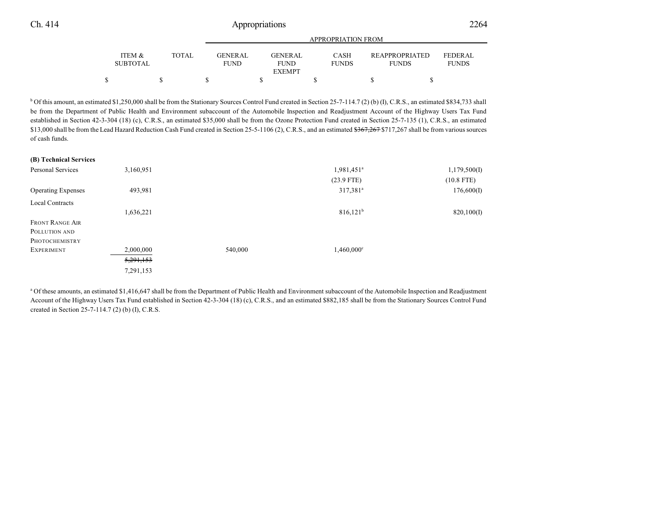|                                      |        | APPROPRIATION FROM       |  |                               |  |                             |  |                                       |                          |  |
|--------------------------------------|--------|--------------------------|--|-------------------------------|--|-----------------------------|--|---------------------------------------|--------------------------|--|
| <b>ITEM &amp;</b><br><b>SUBTOTAL</b> | TOTAL. | GENER AL.<br><b>FUND</b> |  | <b>GENERAL</b><br><b>FUND</b> |  | <b>CASH</b><br><b>FUNDS</b> |  | <b>REAPPROPRIATED</b><br><b>FUNDS</b> | FEDERAL.<br><b>FUNDS</b> |  |
|                                      |        |                          |  | <b>EXEMPT</b>                 |  |                             |  |                                       |                          |  |
|                                      |        |                          |  |                               |  |                             |  |                                       |                          |  |

<sup>b</sup> Of this amount, an estimated \$1,250,000 shall be from the Stationary Sources Control Fund created in Section 25-7-114.7 (2) (b) (I), C.R.S., an estimated \$834,733 shall be from the Department of Public Health and Environment subaccount of the Automobile Inspection and Readjustment Account of the Highway Users Tax Fund established in Section 42-3-304 (18) (c), C.R.S., an estimated \$35,000 shall be from the Ozone Protection Fund created in Section 25-7-135 (1), C.R.S., an estimated \$13,000 shall be from the Lead Hazard Reduction Cash Fund created in Section 25-5-1106 (2), C.R.S., and an estimated \$367,267 \$717,267 shall be from various sources of cash funds.

| (B) Technical Services    |           |         |                          |              |
|---------------------------|-----------|---------|--------------------------|--------------|
| Personal Services         | 3,160,951 |         | 1,981,451 <sup>a</sup>   | 1,179,500(I) |
|                           |           |         | $(23.9$ FTE)             | $(10.8$ FTE) |
| <b>Operating Expenses</b> | 493,981   |         | 317,381 <sup>a</sup>     | 176,600(I)   |
| <b>Local Contracts</b>    |           |         |                          |              |
|                           | 1,636,221 |         | $816,121^b$              | 820,100(I)   |
| <b>FRONT RANGE AIR</b>    |           |         |                          |              |
| POLLUTION AND             |           |         |                          |              |
| PHOTOCHEMISTRY            |           |         |                          |              |
| <b>EXPERIMENT</b>         | 2,000,000 | 540,000 | $1,460,000$ <sup>c</sup> |              |
|                           | 5,291,153 |         |                          |              |
|                           | 7,291,153 |         |                          |              |
|                           |           |         |                          |              |

<sup>a</sup> Of these amounts, an estimated \$1,416,647 shall be from the Department of Public Health and Environment subaccount of the Automobile Inspection and Readjustment Account of the Highway Users Tax Fund established in Section 42-3-304 (18) (c), C.R.S., and an estimated \$882,185 shall be from the Stationary Sources Control Fund created in Section 25-7-114.7 (2) (b) (I), C.R.S.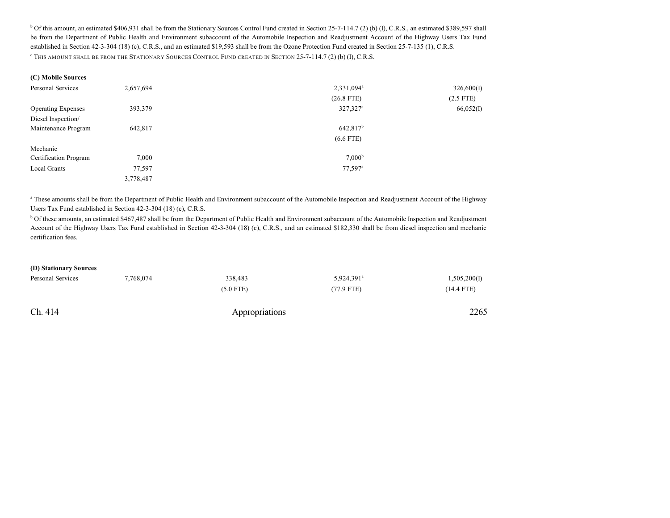<sup>b</sup> Of this amount, an estimated \$406,931 shall be from the Stationary Sources Control Fund created in Section 25-7-114.7 (2) (b) (I), C.R.S., an estimated \$389,597 shall be from the Department of Public Health and Environment subaccount of the Automobile Inspection and Readjustment Account of the Highway Users Tax Fund established in Section 42-3-304 (18) (c), C.R.S., and an estimated \$19,593 shall be from the Ozone Protection Fund created in Section 25-7-135 (1), C.R.S. c THIS AMOUNT SHALL BE FROM THE STATIONARY SOURCES CONTROL FUND CREATED IN SECTION 25-7-114.7 (2) (b) (I), C.R.S.

| (C) Mobile Sources |  |
|--------------------|--|
|--------------------|--|

| Personal Services         | 2,657,694 | 2,331,094 <sup>a</sup> | 326,600(I)  |
|---------------------------|-----------|------------------------|-------------|
|                           |           | $(26.8$ FTE)           | $(2.5$ FTE) |
| <b>Operating Expenses</b> | 393,379   | 327,327 <sup>a</sup>   | 66,052(I)   |
| Diesel Inspection/        |           |                        |             |
| Maintenance Program       | 642,817   | $642,817^b$            |             |
|                           |           | $(6.6$ FTE)            |             |
| Mechanic                  |           |                        |             |
| Certification Program     | 7,000     | 7,000 <sup>b</sup>     |             |
| <b>Local Grants</b>       | 77,597    | $77,597$ <sup>a</sup>  |             |
|                           | 3,778,487 |                        |             |

a These amounts shall be from the Department of Public Health and Environment subaccount of the Automobile Inspection and Readjustment Account of the Highway Users Tax Fund established in Section 42-3-304 (18) (c), C.R.S.

<sup>b</sup> Of these amounts, an estimated \$467,487 shall be from the Department of Public Health and Environment subaccount of the Automobile Inspection and Readjustment Account of the Highway Users Tax Fund established in Section 42-3-304 (18) (c), C.R.S., and an estimated \$182,330 shall be from diesel inspection and mechanic certification fees.

#### **(D) Stationary Sources**

| Personal Services | 7,768,074 | 338,483     | 5,924,391 <sup>a</sup> | 1,505,200(I) |
|-------------------|-----------|-------------|------------------------|--------------|
|                   |           | $(5.0$ FTE) | $(77.9$ FTE)           | (14.4 FTE)   |
|                   |           |             |                        |              |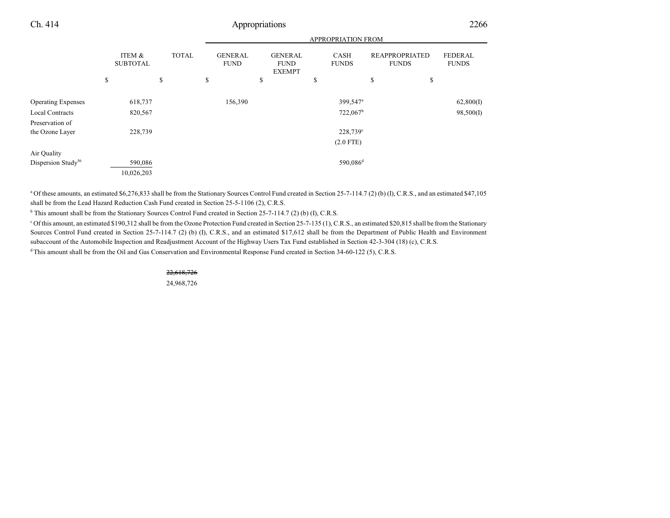|                                |                           | <b>APPROPRIATION FROM</b> |                               |                                                |                             |                                       |                                |
|--------------------------------|---------------------------|---------------------------|-------------------------------|------------------------------------------------|-----------------------------|---------------------------------------|--------------------------------|
|                                | ITEM &<br><b>SUBTOTAL</b> | <b>TOTAL</b>              | <b>GENERAL</b><br><b>FUND</b> | <b>GENERAL</b><br><b>FUND</b><br><b>EXEMPT</b> | <b>CASH</b><br><b>FUNDS</b> | <b>REAPPROPRIATED</b><br><b>FUNDS</b> | <b>FEDERAL</b><br><b>FUNDS</b> |
|                                | \$                        | \$                        | \$                            | \$                                             | \$                          | \$<br>\$                              |                                |
| <b>Operating Expenses</b>      | 618,737                   |                           | 156,390                       |                                                | 399,547 <sup>a</sup>        |                                       | 62,800(I)                      |
| <b>Local Contracts</b>         | 820,567                   |                           |                               |                                                | 722,067 <sup>b</sup>        |                                       | 98,500(I)                      |
| Preservation of                |                           |                           |                               |                                                |                             |                                       |                                |
| the Ozone Layer                | 228,739                   |                           |                               |                                                | 228,739 <sup>c</sup>        |                                       |                                |
|                                |                           |                           |                               |                                                | $(2.0$ FTE)                 |                                       |                                |
| Air Quality                    |                           |                           |                               |                                                |                             |                                       |                                |
| Dispersion Study <sup>56</sup> | 590,086                   |                           |                               |                                                | 590,086 <sup>d</sup>        |                                       |                                |
|                                | 10,026,203                |                           |                               |                                                |                             |                                       |                                |

<sup>a</sup> Of these amounts, an estimated \$6,276,833 shall be from the Stationary Sources Control Fund created in Section 25-7-114.7 (2) (b) (I), C.R.S., and an estimated \$47,105 shall be from the Lead Hazard Reduction Cash Fund created in Section 25-5-1106 (2), C.R.S.

<sup>b</sup> This amount shall be from the Stationary Sources Control Fund created in Section 25-7-114.7 (2) (b) (I), C.R.S.

<sup>c</sup> Of this amount, an estimated \$190,312 shall be from the Ozone Protection Fund created in Section 25-7-135 (1), C.R.S., an estimated \$20,815 shall be from the Stationary Sources Control Fund created in Section 25-7-114.7 (2) (b) (I), C.R.S., and an estimated \$17,612 shall be from the Department of Public Health and Environment subaccount of the Automobile Inspection and Readjustment Account of the Highway Users Tax Fund established in Section 42-3-304 (18) (c), C.R.S.

<sup>d</sup>This amount shall be from the Oil and Gas Conservation and Environmental Response Fund created in Section 34-60-122 (5), C.R.S.

22,618,726 24,968,726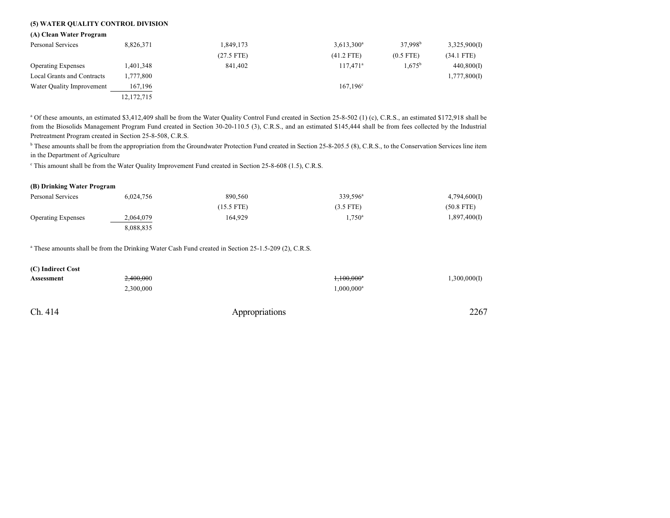### **(5) WATER QUALITY CONTROL DIVISION**

#### **(A) Clean Water Program**

| Personal Services          | 8,826,371  | 1,849,173    | $3,613,300^a$     | $37.998^{\rm b}$ | 3,325,900(I) |
|----------------------------|------------|--------------|-------------------|------------------|--------------|
|                            |            | $(27.5$ FTE) | $(41.2$ FTE)      | $(0.5$ FTE)      | (34.1 FTE)   |
| <b>Operating Expenses</b>  | 1,401,348  | 841,402      | $117.471^a$       | $1.675^{b}$      | 440,800(I)   |
| Local Grants and Contracts | 1,777,800  |              |                   |                  | 1,777,800(I) |
| Water Quality Improvement  | 167,196    |              | $167.196^{\circ}$ |                  |              |
|                            | 12,172,715 |              |                   |                  |              |

<sup>a</sup> Of these amounts, an estimated \$3,412,409 shall be from the Water Quality Control Fund created in Section 25-8-502 (1) (c), C.R.S., an estimated \$172,918 shall be from the Biosolids Management Program Fund created in Section 30-20-110.5 (3), C.R.S., and an estimated \$145,444 shall be from fees collected by the Industrial Pretreatment Program created in Section 25-8-508, C.R.S.

<sup>b</sup> These amounts shall be from the appropriation from the Groundwater Protection Fund created in Section 25-8-205.5 (8), C.R.S., to the Conservation Services line item in the Department of Agriculture

This amount shall be from the Water Quality Improvement Fund created in Section 25-8-608 (1.5), C.R.S.

#### **(B) Drinking Water Program**

| Personal Services         | 6,024,756 | 890,560    | 339,596 <sup>a</sup> | 4,794,600(I) |
|---------------------------|-----------|------------|----------------------|--------------|
|                           |           | (15.5 FTE) | $(3.5$ FTE)          | $(50.8$ FTE) |
| <b>Operating Expenses</b> | 2,064,079 | 164.929    | $1,750^a$            | 1,897,400(I) |
|                           | 8,088,835 |            |                      |              |

<sup>a</sup> These amounts shall be from the Drinking Water Cash Fund created in Section 25-1.5-209 (2), C.R.S.

| (C) Indirect Cost |           |                |                          |              |
|-------------------|-----------|----------------|--------------------------|--------------|
| Assessment        | 2,400,000 |                | $1,100,000$ <sup>a</sup> | 1,300,000(I) |
|                   | 2,300,000 |                | 1,000,000 <sup>a</sup>   |              |
| Ch. 414           |           | Appropriations |                          | 2267         |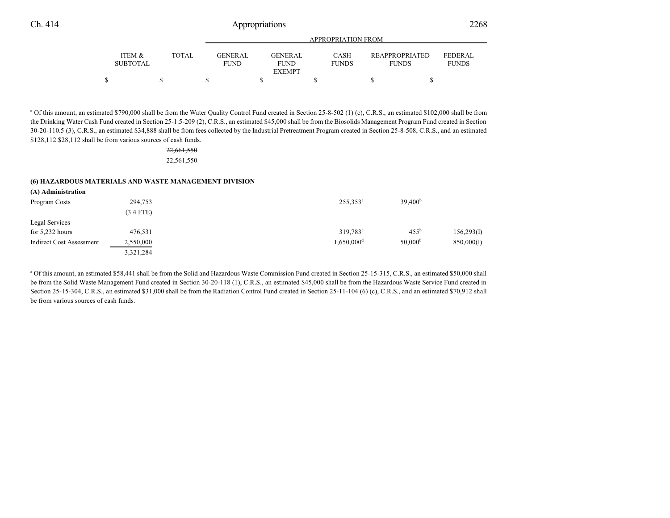|                   |       |             | APPROPRIATION FROM |              |                       |                |  |  |  |  |  |  |
|-------------------|-------|-------------|--------------------|--------------|-----------------------|----------------|--|--|--|--|--|--|
|                   |       |             |                    |              |                       |                |  |  |  |  |  |  |
| <b>ITEM &amp;</b> | TOTAL | GENER AL.   | <b>GENERAL</b>     | <b>CASH</b>  | <b>REAPPROPRIATED</b> | <b>FEDERAL</b> |  |  |  |  |  |  |
| <b>SUBTOTAL</b>   |       | <b>FUND</b> | <b>FUND</b>        | <b>FUNDS</b> | <b>FUNDS</b>          | <b>FUNDS</b>   |  |  |  |  |  |  |
|                   |       |             | <b>EXEMPT</b>      |              |                       |                |  |  |  |  |  |  |
|                   |       |             |                    |              |                       |                |  |  |  |  |  |  |

<sup>a</sup> Of this amount, an estimated \$790,000 shall be from the Water Quality Control Fund created in Section 25-8-502 (1) (c), C.R.S., an estimated \$102,000 shall be from the Drinking Water Cash Fund created in Section 25-1.5-209 (2), C.R.S., an estimated \$45,000 shall be from the Biosolids Management Program Fund created in Section 30-20-110.5 (3), C.R.S., an estimated \$34,888 shall be from fees collected by the Industrial Pretreatment Program created in Section 25-8-508, C.R.S., and an estimated \$128,112 \$28,112 shall be from various sources of cash funds.

### 22,661,550 22,561,550

#### **(6) HAZARDOUS MATERIALS AND WASTE MANAGEMENT DIVISION**

| (A) Administration       |             |                          |                     |            |
|--------------------------|-------------|--------------------------|---------------------|------------|
| Program Costs            | 294,753     | $255,353^a$              | 39,400 <sup>b</sup> |            |
|                          | $(3.4$ FTE) |                          |                     |            |
| Legal Services           |             |                          |                     |            |
| for $5,232$ hours        | 476,531     | $319,783^{\circ}$        | $455^{\rm b}$       | 156,293(I) |
| Indirect Cost Assessment | 2,550,000   | $1.650.000$ <sup>d</sup> | 50.000 <sup>b</sup> | 850,000(I) |
|                          | 3,321,284   |                          |                     |            |

<sup>a</sup> Of this amount, an estimated \$58,441 shall be from the Solid and Hazardous Waste Commission Fund created in Section 25-15-315, C.R.S., an estimated \$50,000 shall be from the Solid Waste Management Fund created in Section 30-20-118 (1), C.R.S., an estimated \$45,000 shall be from the Hazardous Waste Service Fund created in Section 25-15-304, C.R.S., an estimated \$31,000 shall be from the Radiation Control Fund created in Section 25-11-104 (6) (c), C.R.S., and an estimated \$70,912 shall be from various sources of cash funds.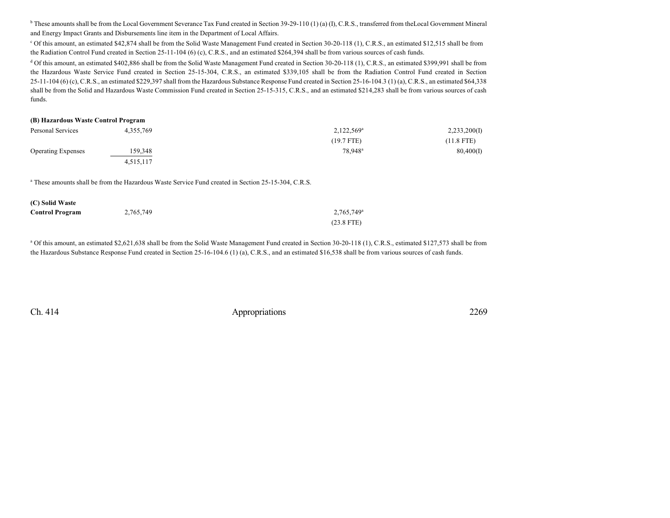<sup>b</sup> These amounts shall be from the Local Government Severance Tax Fund created in Section 39-29-110 (1) (a) (I), C.R.S., transferred from theLocal Government Mineral and Energy Impact Grants and Disbursements line item in the Department of Local Affairs.

<sup>c</sup> Of this amount, an estimated \$42,874 shall be from the Solid Waste Management Fund created in Section 30-20-118 (1), C.R.S., an estimated \$12,515 shall be from the Radiation Control Fund created in Section 25-11-104 (6) (c), C.R.S., and an estimated \$264,394 shall be from various sources of cash funds.

<sup>d</sup> Of this amount, an estimated \$402,886 shall be from the Solid Waste Management Fund created in Section 30-20-118 (1), C.R.S., an estimated \$399,991 shall be from the Hazardous Waste Service Fund created in Section 25-15-304, C.R.S., an estimated \$339,105 shall be from the Radiation Control Fund created in Section 25-11-104 (6) (c), C.R.S., an estimated \$229,397 shall from the Hazardous Substance Response Fund created in Section 25-16-104.3 (1) (a), C.R.S., an estimated \$64,338 shall be from the Solid and Hazardous Waste Commission Fund created in Section 25-15-315, C.R.S., and an estimated \$214,283 shall be from various sources of cash funds.

### **(B) Hazardous Waste Control Program**

| Personal Services         | 4,355,769 | $2,122,569^{\circ}$ | 2,233,200(I) |  |
|---------------------------|-----------|---------------------|--------------|--|
|                           |           | $(19.7$ FTE)        | $(11.8$ FTE) |  |
| <b>Operating Expenses</b> | 159,348   | 78.948 <sup>a</sup> | 80,400(I)    |  |
|                           | 4,515,117 |                     |              |  |

<sup>a</sup> These amounts shall be from the Hazardous Waste Service Fund created in Section 25-15-304, C.R.S.

| (C) Solid Waste        |           |                        |
|------------------------|-----------|------------------------|
| <b>Control Program</b> | 2,765,749 | 2.765.749 <sup>a</sup> |
|                        |           | $(23.8$ FTE)           |

<sup>a</sup> Of this amount, an estimated \$2,621,638 shall be from the Solid Waste Management Fund created in Section 30-20-118 (1), C.R.S., estimated \$127,573 shall be from the Hazardous Substance Response Fund created in Section 25-16-104.6 (1) (a), C.R.S., and an estimated \$16,538 shall be from various sources of cash funds.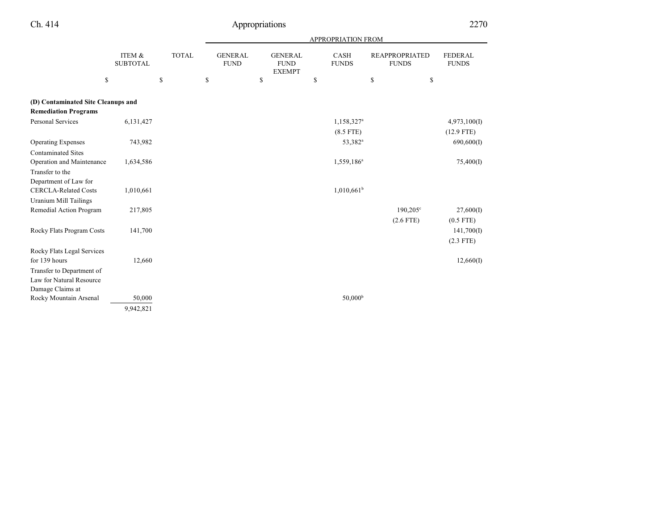| - 1 |  |  |
|-----|--|--|
|-----|--|--|

# Appropriations 2270

|                                            |                           |              |                               |                                                | APPROPRIATION FROM     |                                       |                                |
|--------------------------------------------|---------------------------|--------------|-------------------------------|------------------------------------------------|------------------------|---------------------------------------|--------------------------------|
|                                            | ITEM &<br><b>SUBTOTAL</b> | <b>TOTAL</b> | <b>GENERAL</b><br><b>FUND</b> | <b>GENERAL</b><br><b>FUND</b><br><b>EXEMPT</b> | CASH<br><b>FUNDS</b>   | <b>REAPPROPRIATED</b><br><b>FUNDS</b> | <b>FEDERAL</b><br><b>FUNDS</b> |
| \$                                         |                           | \$           | \$                            | \$                                             | \$                     | \$<br>\$                              |                                |
| (D) Contaminated Site Cleanups and         |                           |              |                               |                                                |                        |                                       |                                |
| <b>Remediation Programs</b>                |                           |              |                               |                                                |                        |                                       |                                |
| <b>Personal Services</b>                   | 6,131,427                 |              |                               |                                                | 1,158,327 <sup>a</sup> |                                       | 4,973,100(I)                   |
|                                            |                           |              |                               |                                                | $(8.5$ FTE)            |                                       | $(12.9$ FTE)                   |
| <b>Operating Expenses</b>                  | 743,982                   |              |                               |                                                | 53,382 <sup>a</sup>    |                                       | 690,600(I)                     |
| <b>Contaminated Sites</b>                  |                           |              |                               |                                                |                        |                                       |                                |
| Operation and Maintenance                  | 1,634,586                 |              |                               |                                                | 1,559,186 <sup>a</sup> |                                       | 75,400(I)                      |
| Transfer to the                            |                           |              |                               |                                                |                        |                                       |                                |
| Department of Law for                      |                           |              |                               |                                                |                        |                                       |                                |
| <b>CERCLA-Related Costs</b>                | 1,010,661                 |              |                               |                                                | $1,010,661^b$          |                                       |                                |
| <b>Uranium Mill Tailings</b>               |                           |              |                               |                                                |                        |                                       |                                |
| Remedial Action Program                    | 217,805                   |              |                               |                                                |                        | $190,205^{\circ}$                     | 27,600(I)                      |
|                                            |                           |              |                               |                                                |                        | $(2.6$ FTE)                           | $(0.5$ FTE)                    |
| Rocky Flats Program Costs                  | 141,700                   |              |                               |                                                |                        |                                       | 141,700(I)                     |
|                                            |                           |              |                               |                                                |                        |                                       | $(2.3$ FTE)                    |
| Rocky Flats Legal Services                 |                           |              |                               |                                                |                        |                                       |                                |
| for 139 hours                              | 12,660                    |              |                               |                                                |                        |                                       | 12,660(I)                      |
| Transfer to Department of                  |                           |              |                               |                                                |                        |                                       |                                |
| Law for Natural Resource                   |                           |              |                               |                                                |                        |                                       |                                |
| Damage Claims at<br>Rocky Mountain Arsenal | 50,000                    |              |                               |                                                | 50,000 <sup>b</sup>    |                                       |                                |
|                                            | 9,942,821                 |              |                               |                                                |                        |                                       |                                |
|                                            |                           |              |                               |                                                |                        |                                       |                                |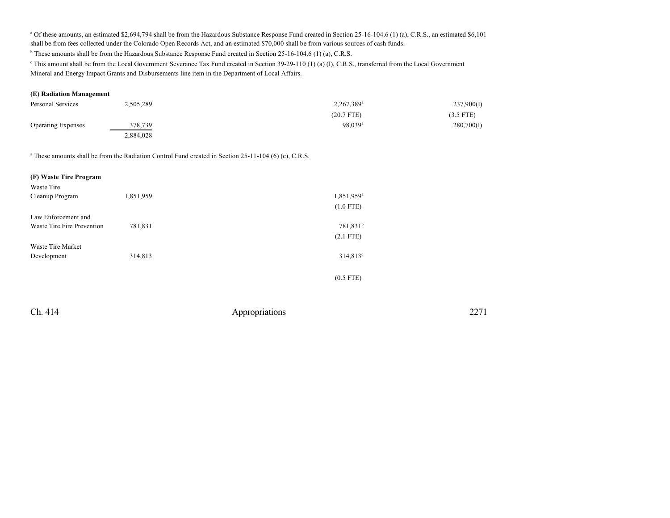<sup>a</sup> Of these amounts, an estimated \$2,694,794 shall be from the Hazardous Substance Response Fund created in Section 25-16-104.6 (1) (a), C.R.S., an estimated \$6,101 shall be from fees collected under the Colorado Open Records Act, and an estimated \$70,000 shall be from various sources of cash funds.

<sup>b</sup> These amounts shall be from the Hazardous Substance Response Fund created in Section 25-16-104.6 (1) (a), C.R.S.

This amount shall be from the Local Government Severance Tax Fund created in Section 39-29-110 (1) (a) (I), C.R.S., transferred from the Local Government Mineral and Energy Impact Grants and Disbursements line item in the Department of Local Affairs.

### **(E) Radiation Management**

| Personal Services         | 2,505,289 | 2,267,389 <sup>a</sup> | 237,900(I)  |
|---------------------------|-----------|------------------------|-------------|
|                           |           | $(20.7$ FTE)           | $(3.5$ FTE) |
| <b>Operating Expenses</b> | 378,739   | $98.039$ <sup>a</sup>  | 280,700(I)  |
|                           | 2,884,028 |                        |             |

<sup>a</sup> These amounts shall be from the Radiation Control Fund created in Section 25-11-104 (6) (c), C.R.S.

| (F) Waste Tire Program     |           |                        |
|----------------------------|-----------|------------------------|
| Waste Tire                 |           |                        |
| Cleanup Program            | 1,851,959 | 1,851,959 <sup>a</sup> |
|                            |           | $(1.0$ FTE)            |
| Law Enforcement and        |           |                        |
| Waste Tire Fire Prevention | 781,831   | 781,831 <sup>b</sup>   |
|                            |           | $(2.1$ FTE)            |
| Waste Tire Market          |           |                        |
| Development                | 314,813   | $314,813^{\circ}$      |
|                            |           |                        |
|                            |           | $(0.5$ FTE)            |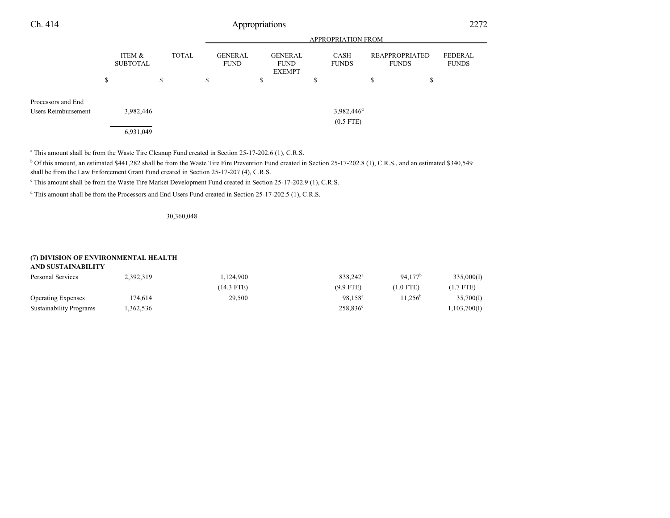| Ch. 414                                          |    |                           |    |              | Appropriations                |   |                                                |    |                                         |    |                                | 2272                           |  |
|--------------------------------------------------|----|---------------------------|----|--------------|-------------------------------|---|------------------------------------------------|----|-----------------------------------------|----|--------------------------------|--------------------------------|--|
|                                                  |    |                           |    |              |                               |   |                                                |    | APPROPRIATION FROM                      |    |                                |                                |  |
|                                                  |    | ITEM &<br><b>SUBTOTAL</b> |    | <b>TOTAL</b> | <b>GENERAL</b><br><b>FUND</b> |   | <b>GENERAL</b><br><b>FUND</b><br><b>EXEMPT</b> |    | CASH<br><b>FUNDS</b>                    |    | REAPPROPRIATED<br><b>FUNDS</b> | <b>FEDERAL</b><br><b>FUNDS</b> |  |
|                                                  | \$ |                           | \$ |              | \$                            | ъ |                                                | \$ |                                         | \$ | \$                             |                                |  |
| Processors and End<br><b>Users Reimbursement</b> |    | 3,982,446                 |    |              |                               |   |                                                |    | $3,982,446$ <sup>d</sup><br>$(0.5$ FTE) |    |                                |                                |  |
|                                                  |    | 6,931,049                 |    |              |                               |   |                                                |    |                                         |    |                                |                                |  |

<sup>a</sup> This amount shall be from the Waste Tire Cleanup Fund created in Section 25-17-202.6 (1), C.R.S.

<sup>b</sup> Of this amount, an estimated \$441,282 shall be from the Waste Tire Fire Prevention Fund created in Section 25-17-202.8 (1), C.R.S., and an estimated \$340,549 shall be from the Law Enforcement Grant Fund created in Section 25-17-207 (4), C.R.S.

c This amount shall be from the Waste Tire Market Development Fund created in Section 25-17-202.9 (1), C.R.S.

d This amount shall be from the Processors and End Users Fund created in Section 25-17-202.5 (1), C.R.S.

30,360,048

### **(7) DIVISION OF ENVIRONMENTAL HEALTH**

| AND SUSTAINABILITY        |           |              |                      |                     |              |  |  |  |  |  |  |
|---------------------------|-----------|--------------|----------------------|---------------------|--------------|--|--|--|--|--|--|
| Personal Services         | 2,392,319 | 1,124,900    | 838.242 <sup>a</sup> | 94.177 <sup>b</sup> | 335,000(I)   |  |  |  |  |  |  |
|                           |           | $(14.3$ FTE) | $(9.9$ FTE)          | $(1.0$ FTE)         | $(1.7$ FTE)  |  |  |  |  |  |  |
| <b>Operating Expenses</b> | 174,614   | 29.500       | 98.158 <sup>a</sup>  | $11.256^{\rm b}$    | 35,700(I)    |  |  |  |  |  |  |
| Sustainability Programs   | ,362,536  |              | 258,836 <sup>c</sup> |                     | 1,103,700(I) |  |  |  |  |  |  |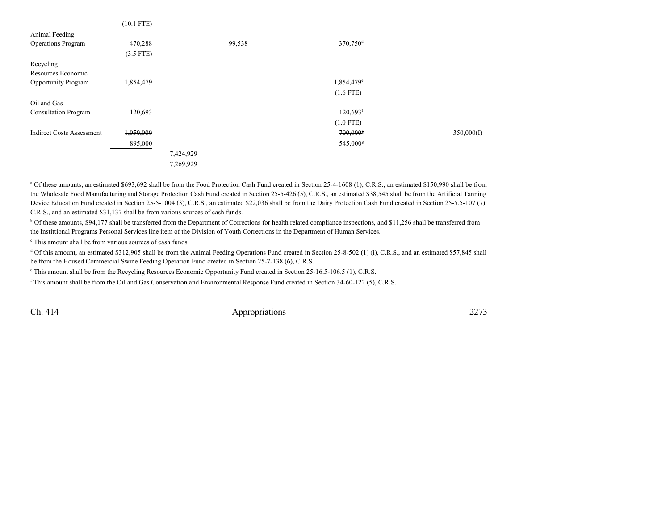|                                  | $(10.1$ FTE) |           |        |                          |            |
|----------------------------------|--------------|-----------|--------|--------------------------|------------|
| Animal Feeding                   |              |           |        |                          |            |
| <b>Operations Program</b>        | 470,288      |           | 99,538 | 370,750 <sup>d</sup>     |            |
|                                  | $(3.5$ FTE)  |           |        |                          |            |
| Recycling                        |              |           |        |                          |            |
| Resources Economic               |              |           |        |                          |            |
| <b>Opportunity Program</b>       | 1,854,479    |           |        | $1,854,479$ <sup>e</sup> |            |
|                                  |              |           |        | $(1.6$ FTE)              |            |
| Oil and Gas                      |              |           |        |                          |            |
| <b>Consultation Program</b>      | 120,693      |           |        | $120,693$ <sup>f</sup>   |            |
|                                  |              |           |        | $(1.0$ FTE)              |            |
| <b>Indirect Costs Assessment</b> | 1,050,000    |           |        | $700,000$ <sup>s</sup>   | 350,000(I) |
|                                  | 895,000      |           |        | 545,000 <sup>g</sup>     |            |
|                                  |              | 7,424,929 |        |                          |            |
|                                  |              | 7,269,929 |        |                          |            |
|                                  |              |           |        |                          |            |

<sup>a</sup> Of these amounts, an estimated \$693,692 shall be from the Food Protection Cash Fund created in Section 25-4-1608 (1), C.R.S., an estimated \$150,990 shall be from the Wholesale Food Manufacturing and Storage Protection Cash Fund created in Section 25-5-426 (5), C.R.S., an estimated \$38,545 shall be from the Artificial Tanning Device Education Fund created in Section 25-5-1004 (3), C.R.S., an estimated \$22,036 shall be from the Dairy Protection Cash Fund created in Section 25-5.5-107 (7), C.R.S., and an estimated \$31,137 shall be from various sources of cash funds.

<sup>b</sup> Of these amounts, \$94,177 shall be transferred from the Department of Corrections for health related compliance inspections, and \$11,256 shall be transferred from the Instittional Programs Personal Services line item of the Division of Youth Corrections in the Department of Human Services.

c This amount shall be from various sources of cash funds.

<sup>d</sup> Of this amount, an estimated \$312,905 shall be from the Animal Feeding Operations Fund created in Section 25-8-502 (1) (i), C.R.S., and an estimated \$57,845 shall be from the Housed Commercial Swine Feeding Operation Fund created in Section 25-7-138 (6), C.R.S.

e This amount shall be from the Recycling Resources Economic Opportunity Fund created in Section 25-16.5-106.5 (1), C.R.S.

f This amount shall be from the Oil and Gas Conservation and Environmental Response Fund created in Section 34-60-122 (5), C.R.S.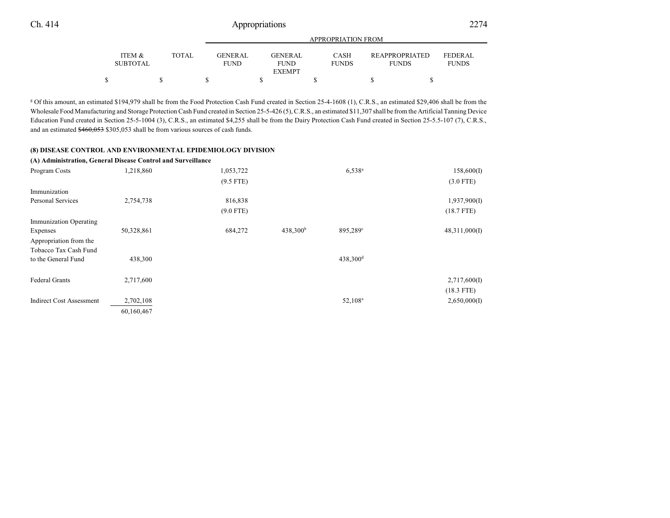|                           |              | APPROPRIATION FROM     |                                         |                      |                                       |                                |  |  |  |  |  |  |
|---------------------------|--------------|------------------------|-----------------------------------------|----------------------|---------------------------------------|--------------------------------|--|--|--|--|--|--|
| ITEM &<br><b>SUBTOTAL</b> | <b>TOTAL</b> | GENERAL<br><b>FUND</b> | GENERAL<br><b>FUND</b><br><b>EXEMPT</b> | CASH<br><b>FUNDS</b> | <b>REAPPROPRIATED</b><br><b>FUNDS</b> | <b>FEDERAL</b><br><b>FUNDS</b> |  |  |  |  |  |  |
|                           |              |                        |                                         |                      |                                       |                                |  |  |  |  |  |  |
|                           |              |                        |                                         |                      |                                       |                                |  |  |  |  |  |  |

g Of this amount, an estimated \$194,979 shall be from the Food Protection Cash Fund created in Section 25-4-1608 (1), C.R.S., an estimated \$29,406 shall be from the Wholesale Food Manufacturing and Storage Protection Cash Fund created in Section 25-5-426 (5), C.R.S., an estimated \$11,307 shall be from the Artificial Tanning Device Education Fund created in Section 25-5-1004 (3), C.R.S., an estimated \$4,255 shall be from the Dairy Protection Cash Fund created in Section 25-5.5-107 (7), C.R.S., and an estimated \$460,053 \$305,053 shall be from various sources of cash funds.

#### **(8) DISEASE CONTROL AND ENVIRONMENTAL EPIDEMIOLOGY DIVISION**

|                                 | (A) Administration, General Disease Control and Surveillance |             |                      |                      |               |
|---------------------------------|--------------------------------------------------------------|-------------|----------------------|----------------------|---------------|
| Program Costs                   | 1,218,860                                                    | 1,053,722   |                      | $6,538^{\circ}$      | 158,600(I)    |
|                                 |                                                              | $(9.5$ FTE) |                      |                      | $(3.0$ FTE)   |
| Immunization                    |                                                              |             |                      |                      |               |
| Personal Services               | 2,754,738                                                    | 816,838     |                      |                      | 1,937,900(I)  |
|                                 |                                                              | $(9.0$ FTE) |                      |                      | $(18.7$ FTE)  |
| <b>Immunization Operating</b>   |                                                              |             |                      |                      |               |
| Expenses                        | 50,328,861                                                   | 684,272     | 438,300 <sup>b</sup> | 895,289 <sup>c</sup> | 48,311,000(I) |
| Appropriation from the          |                                                              |             |                      |                      |               |
| Tobacco Tax Cash Fund           |                                                              |             |                      |                      |               |
| to the General Fund             | 438,300                                                      |             |                      | 438,300 <sup>d</sup> |               |
| <b>Federal Grants</b>           | 2,717,600                                                    |             |                      |                      | 2,717,600(I)  |
|                                 |                                                              |             |                      |                      | $(18.3$ FTE)  |
| <b>Indirect Cost Assessment</b> | 2,702,108                                                    |             |                      | 52,108 <sup>a</sup>  | 2,650,000(I)  |
|                                 | 60,160,467                                                   |             |                      |                      |               |
|                                 |                                                              |             |                      |                      |               |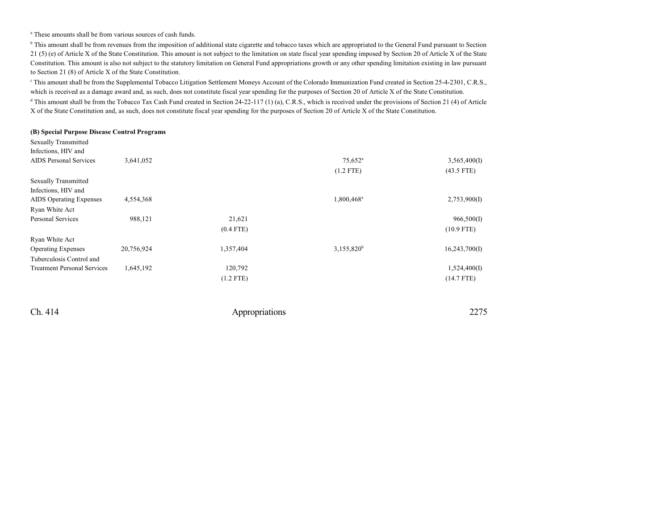a These amounts shall be from various sources of cash funds.

<sup>b</sup> This amount shall be from revenues from the imposition of additional state cigarette and tobacco taxes which are appropriated to the General Fund pursuant to Section 21 (5) (e) of Article X of the State Constitution. This amount is not subject to the limitation on state fiscal year spending imposed by Section 20 of Article X of the State Constitution. This amount is also not subject to the statutory limitation on General Fund appropriations growth or any other spending limitation existing in law pursuant to Section 21 (8) of Article X of the State Constitution.

<sup>c</sup> This amount shall be from the Supplemental Tobacco Litigation Settlement Moneys Account of the Colorado Immunization Fund created in Section 25-4-2301, C.R.S., which is received as a damage award and, as such, does not constitute fiscal year spending for the purposes of Section 20 of Article X of the State Constitution. <sup>d</sup> This amount shall be from the Tobacco Tax Cash Fund created in Section 24-22-117 (1) (a), C.R.S., which is received under the provisions of Section 21 (4) of Article X of the State Constitution and, as such, does not constitute fiscal year spending for the purposes of Section 20 of Article X of the State Constitution.

#### **(B) Special Purpose Disease Control Programs**

| <b>Sexually Transmitted</b>        |            |             |                        |               |
|------------------------------------|------------|-------------|------------------------|---------------|
| Infections, HIV and                |            |             |                        |               |
| <b>AIDS</b> Personal Services      | 3,641,052  |             | $75.652$ <sup>a</sup>  | 3,565,400(I)  |
|                                    |            |             | $(1.2$ FTE)            | $(43.5$ FTE)  |
| <b>Sexually Transmitted</b>        |            |             |                        |               |
| Infections, HIV and                |            |             |                        |               |
| <b>AIDS</b> Operating Expenses     | 4,554,368  |             | 1,800,468 <sup>a</sup> | 2,753,900(I)  |
| Ryan White Act                     |            |             |                        |               |
| <b>Personal Services</b>           | 988,121    | 21,621      |                        | 966,500(I)    |
|                                    |            | $(0.4$ FTE) |                        | $(10.9$ FTE)  |
| Ryan White Act                     |            |             |                        |               |
| <b>Operating Expenses</b>          | 20,756,924 | 1,357,404   | 3,155,820 <sup>b</sup> | 16,243,700(I) |
| Tuberculosis Control and           |            |             |                        |               |
| <b>Treatment Personal Services</b> | 1,645,192  | 120,792     |                        | 1,524,400(I)  |
|                                    |            | $(1.2$ FTE) |                        | $(14.7$ FTE)  |
|                                    |            |             |                        |               |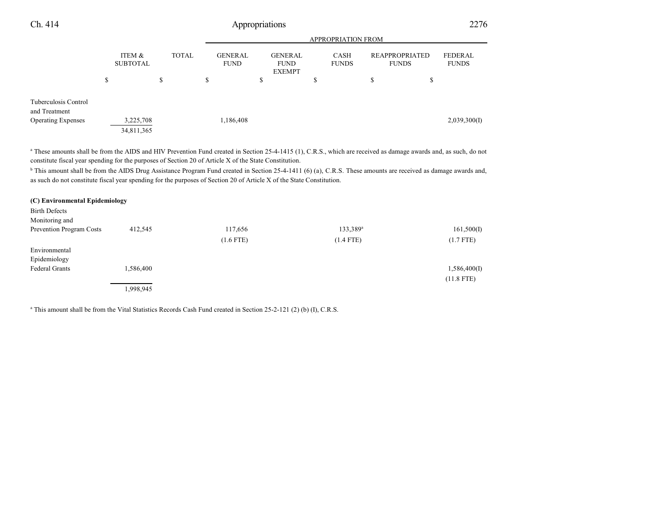| Ch. 414                               |  |                           |  |                    | Appropriations                |  |                                                |  |                      |    |                                       | 2276                           |
|---------------------------------------|--|---------------------------|--|--------------------|-------------------------------|--|------------------------------------------------|--|----------------------|----|---------------------------------------|--------------------------------|
|                                       |  |                           |  | APPROPRIATION FROM |                               |  |                                                |  |                      |    |                                       |                                |
|                                       |  | ITEM &<br><b>SUBTOTAL</b> |  | <b>TOTAL</b>       | <b>GENERAL</b><br><b>FUND</b> |  | <b>GENERAL</b><br><b>FUND</b><br><b>EXEMPT</b> |  | CASH<br><b>FUNDS</b> |    | <b>REAPPROPRIATED</b><br><b>FUNDS</b> | <b>FEDERAL</b><br><b>FUNDS</b> |
| \$                                    |  | \$                        |  | \$                 | \$                            |  | \$                                             |  | \$                   | \$ |                                       |                                |
| Tuberculosis Control<br>and Treatment |  |                           |  |                    |                               |  |                                                |  |                      |    |                                       |                                |
| <b>Operating Expenses</b>             |  | 3,225,708                 |  |                    | 1,186,408                     |  |                                                |  |                      |    |                                       | 2,039,300(I)                   |
|                                       |  | 34,811,365                |  |                    |                               |  |                                                |  |                      |    |                                       |                                |

<sup>a</sup> These amounts shall be from the AIDS and HIV Prevention Fund created in Section 25-4-1415 (1), C.R.S., which are received as damage awards and, as such, do not constitute fiscal year spending for the purposes of Section 20 of Article X of the State Constitution.

<sup>b</sup> This amount shall be from the AIDS Drug Assistance Program Fund created in Section 25-4-1411 (6) (a), C.R.S. These amounts are received as damage awards and, as such do not constitute fiscal year spending for the purposes of Section 20 of Article X of the State Constitution.

| (C) Environmental Epidemiology |           |             |                      |              |
|--------------------------------|-----------|-------------|----------------------|--------------|
| <b>Birth Defects</b>           |           |             |                      |              |
| Monitoring and                 |           |             |                      |              |
| Prevention Program Costs       | 412,545   | 117,656     | 133,389 <sup>a</sup> | 161,500(I)   |
|                                |           | $(1.6$ FTE) | $(1.4$ FTE)          | $(1.7$ FTE)  |
| Environmental                  |           |             |                      |              |
| Epidemiology                   |           |             |                      |              |
| <b>Federal Grants</b>          | 1,586,400 |             |                      | 1,586,400(I) |
|                                |           |             |                      | $(11.8$ FTE) |
|                                | 1,998,945 |             |                      |              |

a This amount shall be from the Vital Statistics Records Cash Fund created in Section 25-2-121 (2) (b) (I), C.R.S.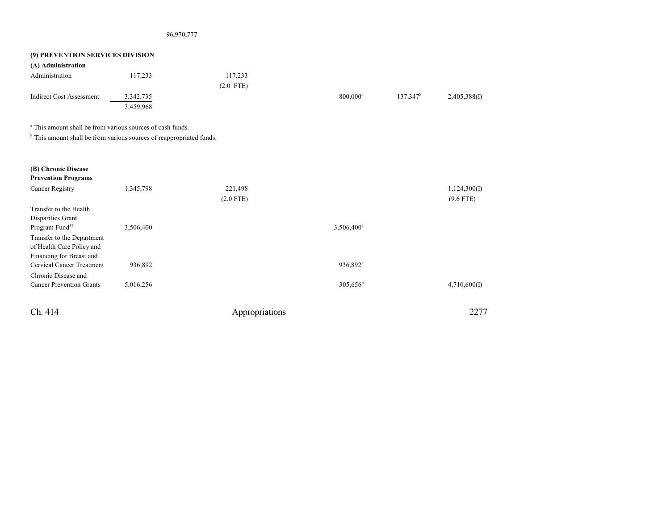### 96,970,777

| (9) PREVENTION SERVICES DIVISION                                                |             |             |                        |                      |              |
|---------------------------------------------------------------------------------|-------------|-------------|------------------------|----------------------|--------------|
| (A) Administration                                                              |             |             |                        |                      |              |
| Administration                                                                  | 117,233     | 117,233     |                        |                      |              |
|                                                                                 |             | $(2.0$ FTE) |                        |                      |              |
| <b>Indirect Cost Assessment</b>                                                 | 3, 342, 735 |             | $800.000$ <sup>a</sup> | 137.347 <sup>b</sup> | 2,405,388(I) |
|                                                                                 | 3,459,968   |             |                        |                      |              |
| <sup>a</sup> This amount shall be from various sources of cash funds.           |             |             |                        |                      |              |
| <sup>b</sup> This amount shall be from various sources of reappropriated funds. |             |             |                        |                      |              |

| (B) Chronic Disease<br><b>Prevention Programs</b> |           |             |                        |              |
|---------------------------------------------------|-----------|-------------|------------------------|--------------|
| Cancer Registry                                   | 1,345,798 | 221,498     |                        | 1,124,300(I) |
|                                                   |           | $(2.0$ FTE) |                        | $(9.6$ FTE)  |
| Transfer to the Health                            |           |             |                        |              |
| Disparities Grant                                 |           |             |                        |              |
| Program Fund <sup>57</sup>                        | 3,506,400 |             | 3,506,400 <sup>a</sup> |              |
| Transfer to the Department                        |           |             |                        |              |
| of Health Care Policy and                         |           |             |                        |              |
| Financing for Breast and                          |           |             |                        |              |
| Cervical Cancer Treatment                         | 936,892   |             | 936,892 <sup>a</sup>   |              |
| Chronic Disease and                               |           |             |                        |              |
| <b>Cancer Prevention Grants</b>                   | 5,016,256 |             | $305,656^{\rm b}$      | 4,710,600(I) |
|                                                   |           |             |                        |              |
|                                                   |           |             |                        |              |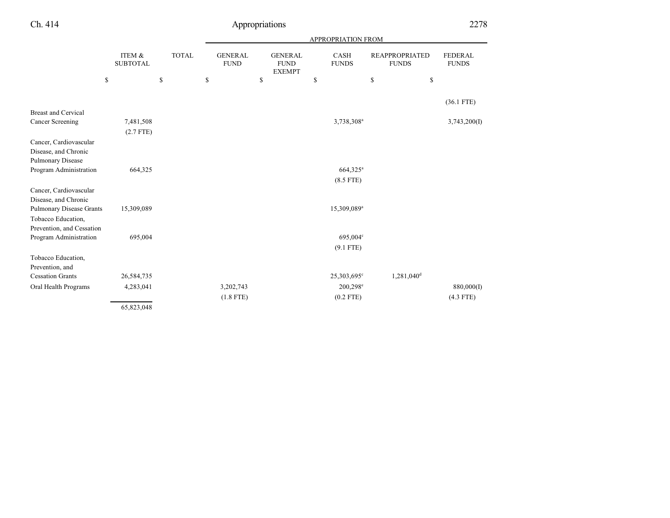|                                 |                           | APPROPRIATION FROM |                               |                                                |                             |                                       |                                |
|---------------------------------|---------------------------|--------------------|-------------------------------|------------------------------------------------|-----------------------------|---------------------------------------|--------------------------------|
|                                 | ITEM &<br><b>SUBTOTAL</b> | <b>TOTAL</b>       | <b>GENERAL</b><br><b>FUND</b> | <b>GENERAL</b><br><b>FUND</b><br><b>EXEMPT</b> | <b>CASH</b><br><b>FUNDS</b> | <b>REAPPROPRIATED</b><br><b>FUNDS</b> | <b>FEDERAL</b><br><b>FUNDS</b> |
|                                 | \$                        | \$                 | \$                            | \$                                             | \$                          | \$<br>\$                              |                                |
|                                 |                           |                    |                               |                                                |                             |                                       | $(36.1$ FTE)                   |
| <b>Breast and Cervical</b>      |                           |                    |                               |                                                |                             |                                       |                                |
| Cancer Screening                | 7,481,508                 |                    |                               |                                                | 3,738,308 <sup>a</sup>      |                                       | 3,743,200(I)                   |
|                                 | $(2.7$ FTE)               |                    |                               |                                                |                             |                                       |                                |
| Cancer, Cardiovascular          |                           |                    |                               |                                                |                             |                                       |                                |
| Disease, and Chronic            |                           |                    |                               |                                                |                             |                                       |                                |
| Pulmonary Disease               |                           |                    |                               |                                                |                             |                                       |                                |
| Program Administration          | 664,325                   |                    |                               |                                                | 664,325 <sup>a</sup>        |                                       |                                |
|                                 |                           |                    |                               |                                                | $(8.5$ FTE)                 |                                       |                                |
| Cancer, Cardiovascular          |                           |                    |                               |                                                |                             |                                       |                                |
| Disease, and Chronic            |                           |                    |                               |                                                |                             |                                       |                                |
| <b>Pulmonary Disease Grants</b> | 15,309,089                |                    |                               |                                                | 15,309,089 <sup>a</sup>     |                                       |                                |
| Tobacco Education,              |                           |                    |                               |                                                |                             |                                       |                                |
| Prevention, and Cessation       |                           |                    |                               |                                                |                             |                                       |                                |
| Program Administration          | 695,004                   |                    |                               |                                                | $695,004^{\circ}$           |                                       |                                |
|                                 |                           |                    |                               |                                                | $(9.1$ FTE)                 |                                       |                                |
| Tobacco Education,              |                           |                    |                               |                                                |                             |                                       |                                |
| Prevention, and                 |                           |                    |                               |                                                |                             |                                       |                                |
| <b>Cessation Grants</b>         | 26,584,735                |                    |                               |                                                | 25,303,695°                 | 1,281,040 <sup>d</sup>                |                                |
| Oral Health Programs            | 4,283,041                 |                    | 3,202,743                     |                                                | $200,298^{\circ}$           |                                       | 880,000(I)                     |
|                                 |                           |                    | $(1.8$ FTE)                   |                                                | $(0.2$ FTE)                 |                                       | $(4.3$ FTE)                    |
|                                 | 65,823,048                |                    |                               |                                                |                             |                                       |                                |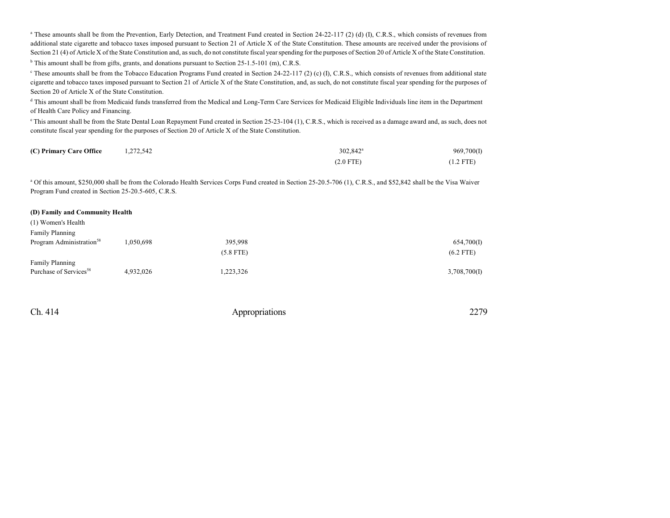<sup>a</sup> These amounts shall be from the Prevention, Early Detection, and Treatment Fund created in Section 24-22-117 (2) (d) (I), C.R.S., which consists of revenues from additional state cigarette and tobacco taxes imposed pursuant to Section 21 of Article X of the State Constitution. These amounts are received under the provisions of Section 21 (4) of Article X of the State Constitution and, as such, do not constitute fiscal year spending for the purposes of Section 20 of Article X of the State Constitution. <sup>b</sup> This amount shall be from gifts, grants, and donations pursuant to Section 25-1.5-101 (m), C.R.S.

<sup>c</sup> These amounts shall be from the Tobacco Education Programs Fund created in Section 24-22-117 (2) (c) (I), C.R.S., which consists of revenues from additional state cigarette and tobacco taxes imposed pursuant to Section 21 of Article X of the State Constitution, and, as such, do not constitute fiscal year spending for the purposes of Section 20 of Article X of the State Constitution.

<sup>d</sup> This amount shall be from Medicaid funds transferred from the Medical and Long-Term Care Services for Medicaid Eligible Individuals line item in the Department of Health Care Policy and Financing.

<sup>e</sup> This amount shall be from the State Dental Loan Repayment Fund created in Section 25-23-104 (1), C.R.S., which is received as a damage award and, as such, does not constitute fiscal year spending for the purposes of Section 20 of Article X of the State Constitution.

| (C) Primary Care Office | 1,272,542 | $302.842^{\text{a}}$ | 969,700(I)  |
|-------------------------|-----------|----------------------|-------------|
|                         |           | $(2.0$ FTE)          | $(1.2$ FTE) |

<sup>a</sup> Of this amount, \$250,000 shall be from the Colorado Health Services Corps Fund created in Section 25-20.5-706 (1), C.R.S., and \$52,842 shall be the Visa Waiver Program Fund created in Section 25-20.5-605, C.R.S.

#### **(D) Family and Community Health**

| (1) Women's Health                   |           |             |              |
|--------------------------------------|-----------|-------------|--------------|
| <b>Family Planning</b>               |           |             |              |
| Program Administration <sup>58</sup> | 1,050,698 | 395,998     | 654,700(I)   |
|                                      |           | $(5.8$ FTE) | $(6.2$ FTE)  |
| <b>Family Planning</b>               |           |             |              |
| Purchase of Services <sup>58</sup>   | 4,932,026 | 1,223,326   | 3,708,700(I) |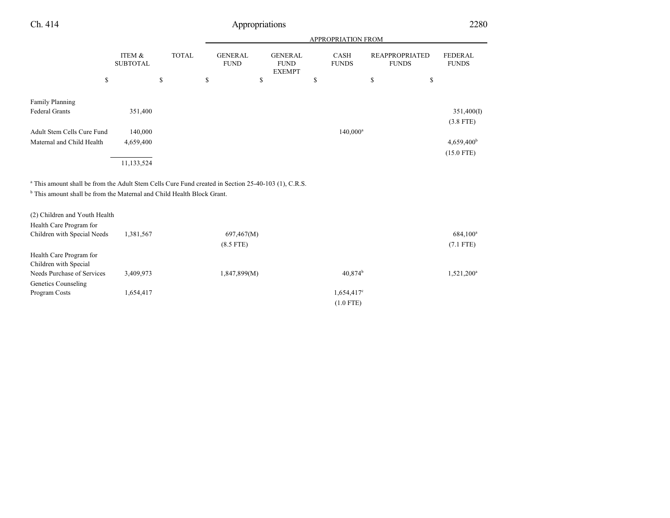| propriations |
|--------------|
|--------------|

|                            |                           |              | <b>APPROPRIATION FROM</b> |                               |    |                                                |    |                      |                                       |                                |
|----------------------------|---------------------------|--------------|---------------------------|-------------------------------|----|------------------------------------------------|----|----------------------|---------------------------------------|--------------------------------|
|                            | ITEM &<br><b>SUBTOTAL</b> | <b>TOTAL</b> |                           | <b>GENERAL</b><br><b>FUND</b> |    | <b>GENERAL</b><br><b>FUND</b><br><b>EXEMPT</b> |    | CASH<br><b>FUNDS</b> | <b>REAPPROPRIATED</b><br><b>FUNDS</b> | <b>FEDERAL</b><br><b>FUNDS</b> |
| \$                         |                           | \$           | \$                        |                               | \$ |                                                | \$ |                      | \$<br>\$                              |                                |
|                            |                           |              |                           |                               |    |                                                |    |                      |                                       |                                |
| <b>Family Planning</b>     |                           |              |                           |                               |    |                                                |    |                      |                                       |                                |
| <b>Federal Grants</b>      | 351,400                   |              |                           |                               |    |                                                |    |                      |                                       | 351,400(I)                     |
|                            |                           |              |                           |                               |    |                                                |    |                      |                                       | $(3.8$ FTE)                    |
| Adult Stem Cells Cure Fund | 140,000                   |              |                           |                               |    |                                                |    | $140,000^a$          |                                       |                                |
| Maternal and Child Health  | 4,659,400                 |              |                           |                               |    |                                                |    |                      |                                       | 4,659,400 <sup>b</sup>         |
|                            |                           |              |                           |                               |    |                                                |    |                      |                                       | $(15.0$ FTE)                   |
|                            | 11,133,524                |              |                           |                               |    |                                                |    |                      |                                       |                                |

a This amount shall be from the Adult Stem Cells Cure Fund created in Section 25-40-103 (1), C.R.S.

<sup>b</sup> This amount shall be from the Maternal and Child Health Block Grant.

| (2) Children and Youth Health |           |              |                        |                        |
|-------------------------------|-----------|--------------|------------------------|------------------------|
| Health Care Program for       |           |              |                        |                        |
| Children with Special Needs   | 1,381,567 | 697,467(M)   |                        | $684,100^a$            |
|                               |           | $(8.5$ FTE)  |                        | $(7.1$ FTE)            |
| Health Care Program for       |           |              |                        |                        |
| Children with Special         |           |              |                        |                        |
| Needs Purchase of Services    | 3,409,973 | 1,847,899(M) | $40,874^{\rm b}$       | 1,521,200 <sup>a</sup> |
| Genetics Counseling           |           |              |                        |                        |
| Program Costs                 | 1,654,417 |              | 1,654,417 <sup>c</sup> |                        |
|                               |           |              | $(1.0$ FTE)            |                        |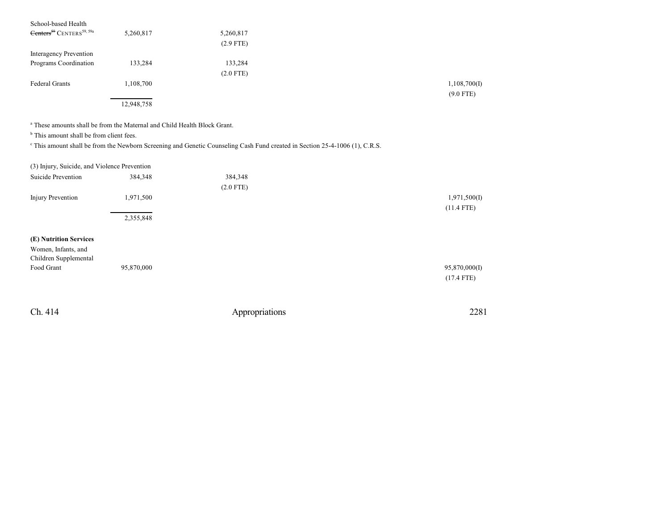| School-based Health                              |            |             |              |
|--------------------------------------------------|------------|-------------|--------------|
| Centers <sup>59</sup> CENTERS <sup>59, 59a</sup> | 5,260,817  | 5,260,817   |              |
|                                                  |            | $(2.9$ FTE) |              |
| Interagency Prevention                           |            |             |              |
| Programs Coordination                            | 133,284    | 133,284     |              |
|                                                  |            | $(2.0$ FTE) |              |
| <b>Federal Grants</b>                            | 1,108,700  |             | 1,108,700(I) |
|                                                  |            |             | $(9.0$ FTE)  |
|                                                  | 12,948,758 |             |              |

a These amounts shall be from the Maternal and Child Health Block Grant.

<sup>b</sup> This amount shall be from client fees.

This amount shall be from the Newborn Screening and Genetic Counseling Cash Fund created in Section 25-4-1006 (1), C.R.S.

| (3) Injury, Suicide, and Violence Prevention |  |  |  |  |
|----------------------------------------------|--|--|--|--|
|----------------------------------------------|--|--|--|--|

| 384,348    | 384,348     |               |
|------------|-------------|---------------|
|            | $(2.0$ FTE) |               |
| 1,971,500  |             | 1,971,500(I)  |
|            |             | $(11.4$ FTE)  |
| 2,355,848  |             |               |
|            |             |               |
|            |             |               |
|            |             |               |
|            |             |               |
| 95,870,000 |             | 95,870,000(I) |
|            |             | $(17.4$ FTE)  |
|            |             |               |
|            |             |               |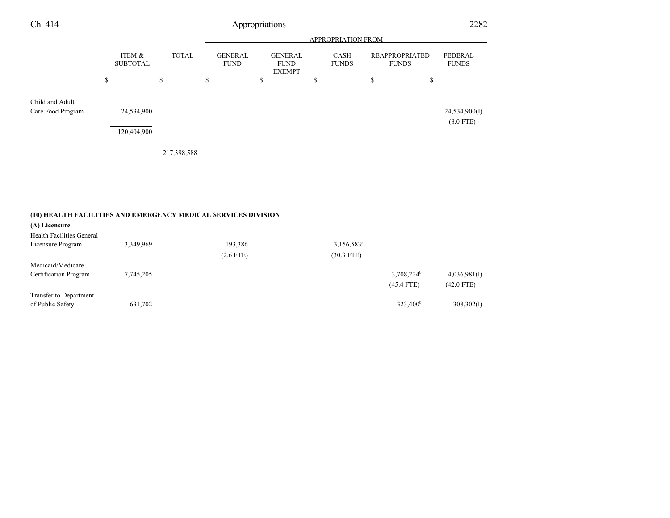| Ch. 414                              | Appropriations            |              |                               |                                                |                             |                                       |                              |  |  |
|--------------------------------------|---------------------------|--------------|-------------------------------|------------------------------------------------|-----------------------------|---------------------------------------|------------------------------|--|--|
|                                      | APPROPRIATION FROM        |              |                               |                                                |                             |                                       |                              |  |  |
|                                      | ITEM &<br><b>SUBTOTAL</b> | <b>TOTAL</b> | <b>GENERAL</b><br><b>FUND</b> | <b>GENERAL</b><br><b>FUND</b><br><b>EXEMPT</b> | <b>CASH</b><br><b>FUNDS</b> | <b>REAPPROPRIATED</b><br><b>FUNDS</b> | FEDERAL<br><b>FUNDS</b>      |  |  |
|                                      | \$                        | \$           | \$                            | \$                                             | \$                          | \$<br>\$                              |                              |  |  |
| Child and Adult<br>Care Food Program | 24,534,900<br>120,404,900 |              |                               |                                                |                             |                                       | 24,534,900(I)<br>$(8.0$ FTE) |  |  |
|                                      |                           | 217,398,588  |                               |                                                |                             |                                       |                              |  |  |

### **(10) HEALTH FACILITIES AND EMERGENCY MEDICAL SERVICES DIVISION**

| (A) Licensure<br>Health Facilities General |           |             |               |                   |              |
|--------------------------------------------|-----------|-------------|---------------|-------------------|--------------|
| Licensure Program                          | 3,349,969 | 193,386     | $3,156,583^a$ |                   |              |
|                                            |           | $(2.6$ FTE) | $(30.3$ FTE)  |                   |              |
| Medicaid/Medicare                          |           |             |               |                   |              |
| Certification Program                      | 7,745,205 |             |               | $3,708,224^b$     | 4,036,981(I) |
|                                            |           |             |               | $(45.4$ FTE)      | $(42.0$ FTE) |
| Transfer to Department                     |           |             |               |                   |              |
| of Public Safety                           | 631,702   |             |               | $323,400^{\rm b}$ | 308,302(I)   |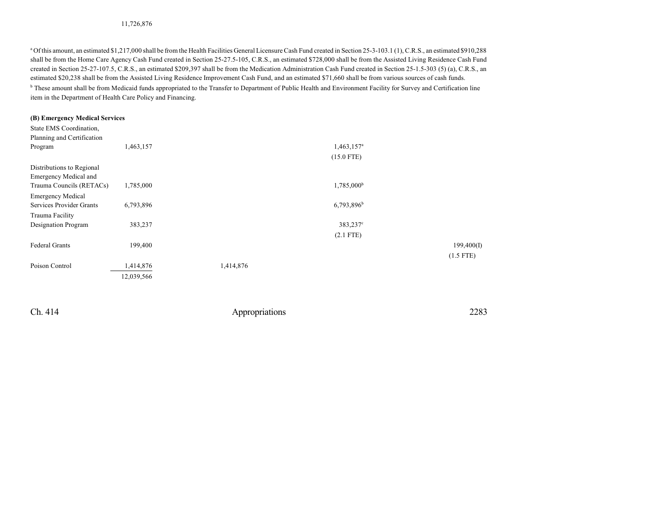<sup>a</sup> Of this amount, an estimated \$1,217,000 shall be from the Health Facilities General Licensure Cash Fund created in Section 25-3-103.1 (1), C.R.S., an estimated \$910,288 shall be from the Home Care Agency Cash Fund created in Section 25-27.5-105, C.R.S., an estimated \$728,000 shall be from the Assisted Living Residence Cash Fund created in Section 25-27-107.5, C.R.S., an estimated \$209,397 shall be from the Medication Administration Cash Fund created in Section 25-1.5-303 (5) (a), C.R.S., an estimated \$20,238 shall be from the Assisted Living Residence Improvement Cash Fund, and an estimated \$71,660 shall be from various sources of cash funds. <sup>b</sup> These amount shall be from Medicaid funds appropriated to the Transfer to Department of Public Health and Environment Facility for Survey and Certification line item in the Department of Health Care Policy and Financing.

#### **(B) Emergency Medical Services**

| State EMS Coordination,      |            |           |                          |             |
|------------------------------|------------|-----------|--------------------------|-------------|
| Planning and Certification   |            |           |                          |             |
| Program                      | 1,463,157  |           | $1,463,157^a$            |             |
|                              |            |           | $(15.0$ FTE)             |             |
| Distributions to Regional    |            |           |                          |             |
| <b>Emergency Medical and</b> |            |           |                          |             |
| Trauma Councils (RETACs)     | 1,785,000  |           | 1,785,000 <sup>b</sup>   |             |
| <b>Emergency Medical</b>     |            |           |                          |             |
| Services Provider Grants     | 6,793,896  |           | $6,793,896$ <sup>b</sup> |             |
| Trauma Facility              |            |           |                          |             |
| Designation Program          | 383,237    |           | 383,237°                 |             |
|                              |            |           | $(2.1$ FTE)              |             |
| <b>Federal Grants</b>        | 199,400    |           |                          | 199,400(I)  |
|                              |            |           |                          | $(1.5$ FTE) |
| Poison Control               | 1,414,876  | 1,414,876 |                          |             |
|                              | 12,039,566 |           |                          |             |
|                              |            |           |                          |             |
|                              |            |           |                          |             |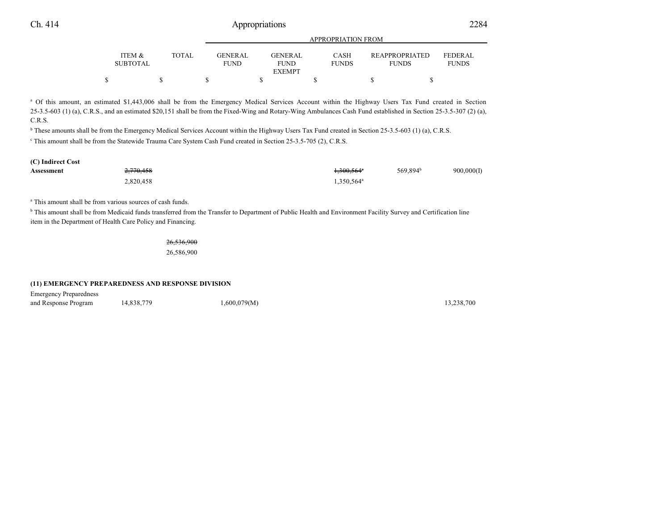| <b>ITEM &amp;</b><br><b>SUBTOTAL</b> | TOTAL. |  | GENER AL.<br><b>FUND</b> | <b>GENERAL</b><br><b>FUND</b> | CASH<br><b>FUNDS</b> |  | <b>REAPPROPRIATED</b><br><b>FUNDS</b> |  | FEDER AL.<br><b>FUNDS</b> |  |
|--------------------------------------|--------|--|--------------------------|-------------------------------|----------------------|--|---------------------------------------|--|---------------------------|--|
|                                      |        |  |                          | <b>EXEMPT</b>                 |                      |  |                                       |  |                           |  |
|                                      |        |  |                          |                               |                      |  |                                       |  |                           |  |

APPROPRIATION FROM

<sup>a</sup> Of this amount, an estimated \$1,443,006 shall be from the Emergency Medical Services Account within the Highway Users Tax Fund created in Section  $25-3.5-603$  (1) (a), C.R.S., and an estimated \$20,151 shall be from the Fixed-Wing and Rotary-Wing Ambulances Cash Fund established in Section 25-3.5-307 (2) (a), C.R.S.

<sup>b</sup> These amounts shall be from the Emergency Medical Services Account within the Highway Users Tax Fund created in Section 25-3.5-603 (1) (a), C.R.S.

c This amount shall be from the Statewide Trauma Care System Cash Fund created in Section 25-3.5-705 (2), C.R.S.

| (C) Indirect Cost |           |                                   |                      |            |
|-------------------|-----------|-----------------------------------|----------------------|------------|
| Assessment        | 2,770,458 | <del>1,300,564</del> <sup>a</sup> | 569.894 <sup>b</sup> | 900,000(I) |
|                   | 2,820,458 | $1,350,564^{\circ}$               |                      |            |

a This amount shall be from various sources of cash funds.

<sup>b</sup> This amount shall be from Medicaid funds transferred from the Transfer to Department of Public Health and Environment Facility Survey and Certification line item in the Department of Health Care Policy and Financing.

26,536,900

26,586,900

#### **(11) EMERGENCY PREPAREDNESS AND RESPONSE DIVISION**

Emergency Preparedness

and Response Program 14,838,779 1,600,079(M) 13,238,700 13,238,700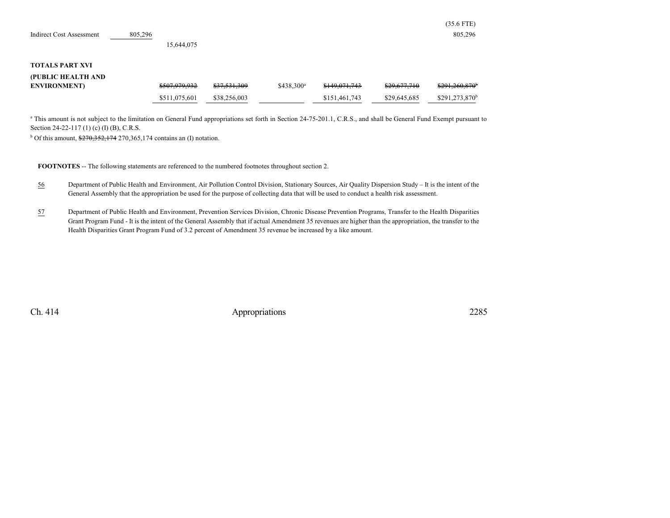|                                 |         |               |              |                        |               |              | $(35.6$ FTE)                |
|---------------------------------|---------|---------------|--------------|------------------------|---------------|--------------|-----------------------------|
| <b>Indirect Cost Assessment</b> | 805,296 |               |              |                        |               |              | 805,296                     |
|                                 |         | 15,644,075    |              |                        |               |              |                             |
|                                 |         |               |              |                        |               |              |                             |
| <b>TOTALS PART XVI</b>          |         |               |              |                        |               |              |                             |
| (PUBLIC HEALTH AND              |         |               |              |                        |               |              |                             |
| <b>ENVIRONMENT</b> )            |         | \$507,979,932 | \$37,531,309 | \$438,300 <sup>a</sup> | \$149,071,743 | \$29,677,710 | $$291.260.870$ <sup>b</sup> |
|                                 |         | \$511,075,601 | \$38,256,003 |                        | \$151,461,743 | \$29,645,685 | $$291,273,870$ <sup>t</sup> |

<sup>a</sup> This amount is not subject to the limitation on General Fund appropriations set forth in Section 24-75-201.1, C.R.S., and shall be General Fund Exempt pursuant to Section 24-22-117 (1) (c) (I) (B), C.R.S.

<sup>b</sup> Of this amount,  $\frac{$270,352,174}{270,365,174}$  contains an (I) notation.

**FOOTNOTES** -- The following statements are referenced to the numbered footnotes throughout section 2.

- 56 Department of Public Health and Environment, Air Pollution Control Division, Stationary Sources, Air Quality Dispersion Study It is the intent of the General Assembly that the appropriation be used for the purpose of collecting data that will be used to conduct a health risk assessment.
- 57 Department of Public Health and Environment, Prevention Services Division, Chronic Disease Prevention Programs, Transfer to the Health Disparities Grant Program Fund - It is the intent of the General Assembly that if actual Amendment 35 revenues are higher than the appropriation, the transfer to the Health Disparities Grant Program Fund of 3.2 percent of Amendment 35 revenue be increased by a like amount.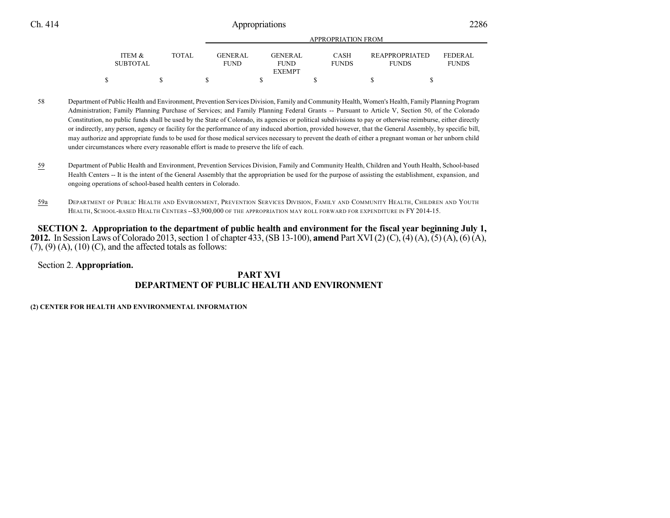|                 |              |                 | APPROPRIATION FROM |              |                       |                |  |  |  |  |  |
|-----------------|--------------|-----------------|--------------------|--------------|-----------------------|----------------|--|--|--|--|--|
| ITEM &          | <b>TOTAL</b> | <b>GENER AL</b> | <b>GENERAL</b>     | <b>CASH</b>  | <b>REAPPROPRIATED</b> | <b>FEDERAL</b> |  |  |  |  |  |
| <b>SUBTOTAL</b> |              | <b>FUND</b>     | <b>FUND</b>        | <b>FUNDS</b> | <b>FUNDS</b>          | <b>FUNDS</b>   |  |  |  |  |  |
|                 |              |                 | <b>EXEMPT</b>      |              |                       |                |  |  |  |  |  |
|                 |              |                 |                    |              |                       |                |  |  |  |  |  |

58 Department of Public Health and Environment, Prevention Services Division, Family and Community Health, Women's Health, Family Planning Program Administration; Family Planning Purchase of Services; and Family Planning Federal Grants -- Pursuant to Article V, Section 50, of the Colorado Constitution, no public funds shall be used by the State of Colorado, its agencies or political subdivisions to pay or otherwise reimburse, either directly or indirectly, any person, agency or facility for the performance of any induced abortion, provided however, that the General Assembly, by specific bill, may authorize and appropriate funds to be used for those medical services necessary to prevent the death of either a pregnant woman or her unborn child under circumstances where every reasonable effort is made to preserve the life of each.

- 59 Department of Public Health and Environment, Prevention Services Division, Family and Community Health, Children and Youth Health, School-based Health Centers -- It is the intent of the General Assembly that the appropriation be used for the purpose of assisting the establishment, expansion, and ongoing operations of school-based health centers in Colorado.
- 59a DEPARTMENT OF PUBLIC HEALTH AND ENVIRONMENT, PREVENTION SERVICES DIVISION, FAMILY AND COMMUNITY HEALTH, CHILDREN AND YOUTH HEALTH, SCHOOL-BASED HEALTH CENTERS --\$3,900,000 OF THE APPROPRIATION MAY ROLL FORWARD FOR EXPENDITURE IN FY 2014-15.

SECTION 2. Appropriation to the department of public health and environment for the fiscal year beginning July 1, **2012.** In Session Laws of Colorado 2013, section 1 of chapter 433, (SB 13-100), **amend** Part XVI (2) (C), (4) (A), (5) (A), (6) (A),  $(7)$ ,  $(9)$   $(A)$ ,  $(10)$   $(C)$ , and the affected totals as follows:

Section 2. **Appropriation.**

### **PART XVI DEPARTMENT OF PUBLIC HEALTH AND ENVIRONMENT**

### **(2) CENTER FOR HEALTH AND ENVIRONMENTAL INFORMATION**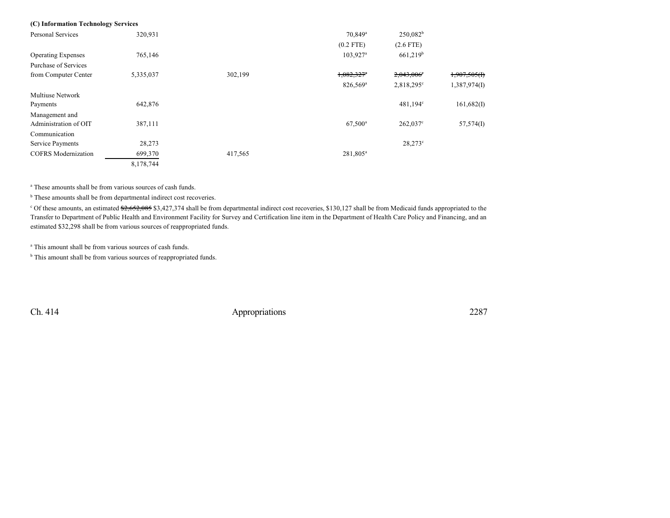| (C) Information Technology Services |           |         |                        |                          |              |
|-------------------------------------|-----------|---------|------------------------|--------------------------|--------------|
| Personal Services                   | 320,931   |         | $70,849$ <sup>a</sup>  | $250,082^b$              |              |
|                                     |           |         | $(0.2$ FTE)            | $(2.6$ FTE)              |              |
| <b>Operating Expenses</b>           | 765,146   |         | $103.927$ <sup>a</sup> | $661,219^b$              |              |
| Purchase of Services                |           |         |                        |                          |              |
| from Computer Center                | 5,335,037 | 302,199 | $1,082,327$ *          | $2,043,006$ <sup>e</sup> | 1,907,505(f) |
|                                     |           |         | 826,569 <sup>a</sup>   | $2,818,295^{\circ}$      | 1,387,974(I) |
| <b>Multiuse Network</b>             |           |         |                        |                          |              |
| Payments                            | 642,876   |         |                        | $481,194^{\circ}$        | 161,682(I)   |
| Management and                      |           |         |                        |                          |              |
| Administration of OIT               | 387,111   |         | $67,500^{\rm a}$       | $262,037^{\circ}$        | 57,574(I)    |
| Communication                       |           |         |                        |                          |              |
| Service Payments                    | 28,273    |         |                        | $28,273^{\circ}$         |              |
| <b>COFRS</b> Modernization          | 699,370   | 417,565 | 281,805 <sup>a</sup>   |                          |              |
|                                     | 8,178,744 |         |                        |                          |              |

a These amounts shall be from various sources of cash funds.

<sup>b</sup> These amounts shall be from departmental indirect cost recoveries.

<sup>c</sup> Of these amounts, an estimated \$2,652,085 \$3,427,374 shall be from departmental indirect cost recoveries, \$130,127 shall be from Medicaid funds appropriated to the Transfer to Department of Public Health and Environment Facility for Survey and Certification line item in the Department of Health Care Policy and Financing, and an estimated \$32,298 shall be from various sources of reappropriated funds.

a This amount shall be from various sources of cash funds.

<sup>b</sup> This amount shall be from various sources of reappropriated funds.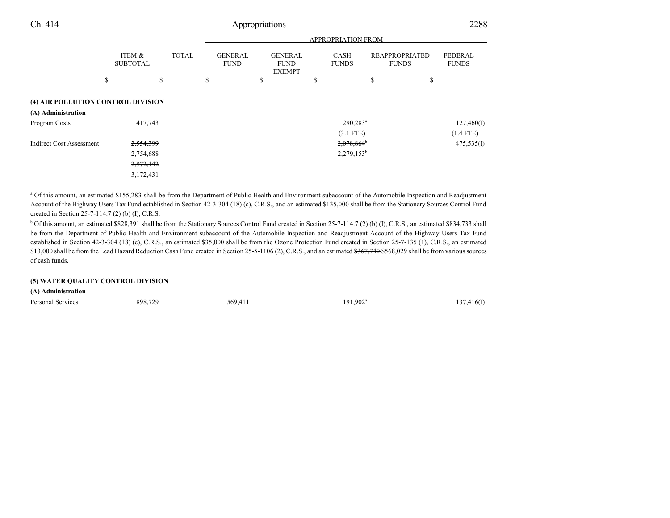|                                                                           |    |                                                  |  | <b>APPROPRIATION FROM</b> |  |                                               |  |                                                |                                           |    |                      |                                |                           |  |                                |
|---------------------------------------------------------------------------|----|--------------------------------------------------|--|---------------------------|--|-----------------------------------------------|--|------------------------------------------------|-------------------------------------------|----|----------------------|--------------------------------|---------------------------|--|--------------------------------|
|                                                                           |    | ITEM &<br><b>SUBTOTAL</b>                        |  |                           |  | <b>TOTAL</b><br><b>GENERAL</b><br><b>FUND</b> |  | <b>GENERAL</b><br><b>FUND</b><br><b>EXEMPT</b> |                                           |    | CASH<br><b>FUNDS</b> | REAPPROPRIATED<br><b>FUNDS</b> |                           |  | <b>FEDERAL</b><br><b>FUNDS</b> |
|                                                                           | \$ | \$                                               |  | \$                        |  | \$                                            |  | \$                                             |                                           | \$ |                      | \$                             |                           |  |                                |
| (4) AIR POLLUTION CONTROL DIVISION<br>(A) Administration<br>Program Costs |    | 417,743                                          |  |                           |  |                                               |  |                                                | $290,283^a$<br>$(3.1$ FTE)                |    |                      |                                | 127,460(I)<br>$(1.4$ FTE) |  |                                |
| <b>Indirect Cost Assessment</b>                                           |    | 2,554,399<br>2,754,688<br>2,972,142<br>3,172,431 |  |                           |  |                                               |  |                                                | $2,078,864$ <sup>b</sup><br>$2,279,153^b$ |    |                      |                                | 475,535(I)                |  |                                |

<sup>a</sup> Of this amount, an estimated \$155,283 shall be from the Department of Public Health and Environment subaccount of the Automobile Inspection and Readjustment Account of the Highway Users Tax Fund established in Section 42-3-304 (18) (c), C.R.S., and an estimated \$135,000 shall be from the Stationary Sources Control Fund created in Section 25-7-114.7 (2) (b) (I), C.R.S.

<sup>b</sup> Of this amount, an estimated \$828,391 shall be from the Stationary Sources Control Fund created in Section 25-7-114.7 (2) (b) (I), C.R.S., an estimated \$834,733 shall be from the Department of Public Health and Environment subaccount of the Automobile Inspection and Readjustment Account of the Highway Users Tax Fund established in Section 42-3-304 (18) (c), C.R.S., an estimated \$35,000 shall be from the Ozone Protection Fund created in Section 25-7-135 (1), C.R.S., an estimated \$13,000 shall be from the Lead Hazard Reduction Cash Fund created in Section 25-5-1106 (2), C.R.S., and an estimated \$367,740 \$568,029 shall be from various sources of cash funds.

### **(5) WATER QUALITY CONTROL DIVISION**

#### **(A) Administration**

| Personal Services | 898,729 | 569,411 | $191,902^{\rm a}$ | 137,416(I) |
|-------------------|---------|---------|-------------------|------------|
|                   | $\sim$  |         | .                 |            |
|                   |         |         |                   |            |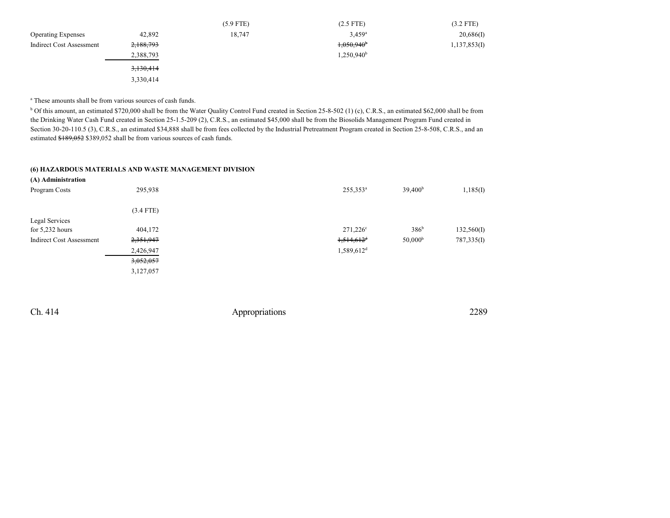|                                 |           | $(5.9$ FTE) | $(2.5$ FTE)              | $(3.2$ FTE)  |
|---------------------------------|-----------|-------------|--------------------------|--------------|
| <b>Operating Expenses</b>       | 42,892    | 18,747      | $3.459$ <sup>a</sup>     | 20,686(I)    |
| <b>Indirect Cost Assessment</b> | 2,188,793 |             | $1,050,940$ <sup>b</sup> | 1,137,853(I) |
|                                 | 2,388,793 |             | $1,250,940^{\rm b}$      |              |
|                                 | 3,130,414 |             |                          |              |
|                                 | 3,330,414 |             |                          |              |

a These amounts shall be from various sources of cash funds.

<sup>b</sup> Of this amount, an estimated \$720,000 shall be from the Water Quality Control Fund created in Section 25-8-502 (1) (c), C.R.S., an estimated \$62,000 shall be from the Drinking Water Cash Fund created in Section 25-1.5-209 (2), C.R.S., an estimated \$45,000 shall be from the Biosolids Management Program Fund created in Section 30-20-110.5 (3), C.R.S., an estimated \$34,888 shall be from fees collected by the Industrial Pretreatment Program created in Section 25-8-508, C.R.S., and an estimated \$189,052 \$389,052 shall be from various sources of cash funds.

#### **(6) HAZARDOUS MATERIALS AND WASTE MANAGEMENT DIVISION**

| (A) Administration              |             |                          |                     |            |
|---------------------------------|-------------|--------------------------|---------------------|------------|
| Program Costs                   | 295,938     | $255,353^a$              | 39,400 <sup>b</sup> | 1,185(I)   |
|                                 | $(3.4$ FTE) |                          |                     |            |
| <b>Legal Services</b>           |             |                          |                     |            |
| for $5,232$ hours               | 404,172     | $271,226^{\circ}$        | 386 <sup>b</sup>    | 132,560(I) |
| <b>Indirect Cost Assessment</b> | 2,351,947   | $1,514,612$ <sup>d</sup> | 50,000 <sup>b</sup> | 787,335(I) |
|                                 | 2,426,947   | $1,589,612$ <sup>d</sup> |                     |            |
|                                 | 3,052,057   |                          |                     |            |
|                                 | 3,127,057   |                          |                     |            |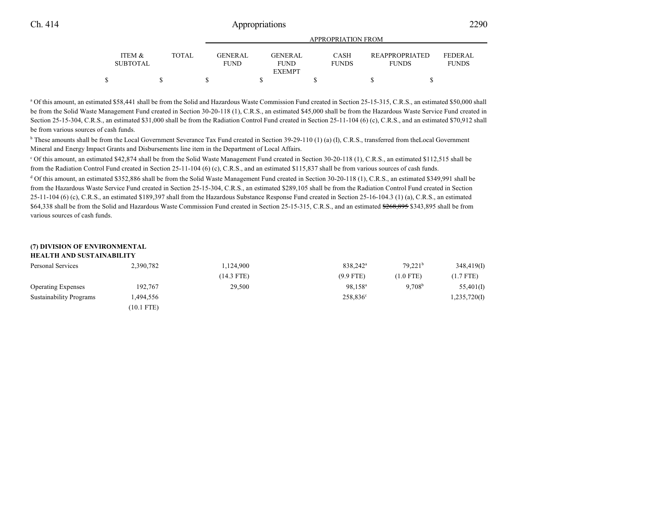|                           |              |                               |                        | <b>APPROPRIATION FROM</b>   |                                       |                         |
|---------------------------|--------------|-------------------------------|------------------------|-----------------------------|---------------------------------------|-------------------------|
| ITEM &<br><b>SUBTOTAL</b> | <b>TOTAL</b> | <b>GENERAL</b><br><b>FUND</b> | GENERAL<br><b>FUND</b> | <b>CASH</b><br><b>FUNDS</b> | <b>REAPPROPRIATED</b><br><b>FUNDS</b> | FEDERAL<br><b>FUNDS</b> |
|                           |              |                               | <b>EXEMPT</b>          |                             |                                       |                         |
|                           |              |                               |                        |                             |                                       |                         |

<sup>a</sup> Of this amount, an estimated \$58,441 shall be from the Solid and Hazardous Waste Commission Fund created in Section 25-15-315, C.R.S., an estimated \$50,000 shall be from the Solid Waste Management Fund created in Section 30-20-118 (1), C.R.S., an estimated \$45,000 shall be from the Hazardous Waste Service Fund created in Section 25-15-304, C.R.S., an estimated \$31,000 shall be from the Radiation Control Fund created in Section 25-11-104 (6) (c), C.R.S., and an estimated \$70,912 shall be from various sources of cash funds.

<sup>b</sup> These amounts shall be from the Local Government Severance Tax Fund created in Section 39-29-110 (1) (a) (I), C.R.S., transferred from theLocal Government Mineral and Energy Impact Grants and Disbursements line item in the Department of Local Affairs.

<sup>c</sup> Of this amount, an estimated \$42,874 shall be from the Solid Waste Management Fund created in Section 30-20-118 (1), C.R.S., an estimated \$112,515 shall be from the Radiation Control Fund created in Section 25-11-104 (6) (c), C.R.S., and an estimated \$115,837 shall be from various sources of cash funds.

<sup>d</sup> Of this amount, an estimated \$352,886 shall be from the Solid Waste Management Fund created in Section 30-20-118 (1), C.R.S., an estimated \$349,991 shall be from the Hazardous Waste Service Fund created in Section 25-15-304, C.R.S., an estimated \$289,105 shall be from the Radiation Control Fund created in Section 25-11-104 (6) (c), C.R.S., an estimated \$189,397 shall from the Hazardous Substance Response Fund created in Section 25-16-104.3 (1) (a), C.R.S., an estimated \$64,338 shall be from the Solid and Hazardous Waste Commission Fund created in Section 25-15-315, C.R.S., and an estimated \$268,895 \$343,895 shall be from various sources of cash funds.

### **(7) DIVISION OF ENVIRONMENTAL**

| <b>HEALTH AND SUSTAINABILITY</b> |              |            |                      |                     |              |
|----------------------------------|--------------|------------|----------------------|---------------------|--------------|
| Personal Services                | 2,390,782    | 1,124,900  | 838.242 <sup>a</sup> | 79.221 <sup>b</sup> | 348,419(1)   |
|                                  |              | (14.3 FTE) | $(9.9$ FTE)          | $(1.0$ FTE)         | $(1.7$ FTE)  |
| <b>Operating Expenses</b>        | 192,767      | 29,500     | 98.158 <sup>a</sup>  | 9.708 <sup>b</sup>  | 55,401(I)    |
| <b>Sustainability Programs</b>   | 1.494.556    |            | 258,836 <sup>c</sup> |                     | 1,235,720(I) |
|                                  | $(10.1$ FTE) |            |                      |                     |              |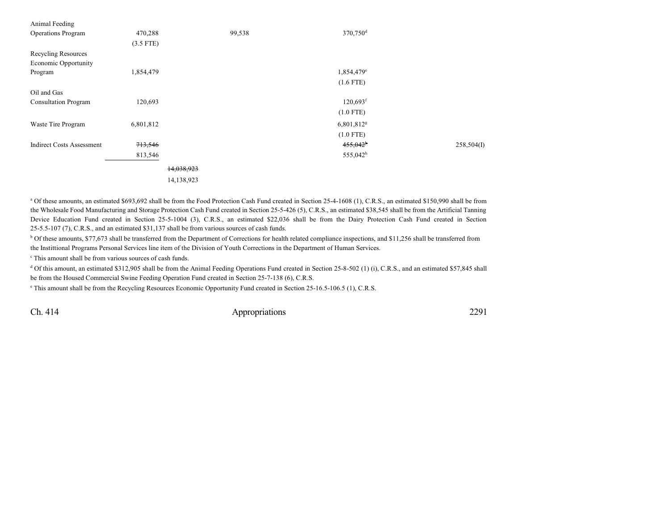| Animal Feeding                   |             |            |                        |            |
|----------------------------------|-------------|------------|------------------------|------------|
| <b>Operations Program</b>        | 470,288     | 99,538     | 370,750 <sup>d</sup>   |            |
|                                  | $(3.5$ FTE) |            |                        |            |
| Recycling Resources              |             |            |                        |            |
| Economic Opportunity             |             |            |                        |            |
| Program                          | 1,854,479   |            | 1,854,479 <sup>e</sup> |            |
|                                  |             |            | $(1.6$ FTE)            |            |
| Oil and Gas                      |             |            |                        |            |
| <b>Consultation Program</b>      | 120,693     |            | $120,693$ <sup>f</sup> |            |
|                                  |             |            | $(1.0$ FTE)            |            |
| Waste Tire Program               | 6,801,812   |            | 6,801,812 <sup>g</sup> |            |
|                                  |             |            | $(1.0$ FTE)            |            |
| <b>Indirect Costs Assessment</b> | 713,546     |            | 455,042 <sup>h</sup>   | 258,504(I) |
|                                  | 813,546     |            | 555,042 <sup>h</sup>   |            |
|                                  |             | 14,038,923 |                        |            |
|                                  |             | 14,138,923 |                        |            |

<sup>a</sup> Of these amounts, an estimated \$693,692 shall be from the Food Protection Cash Fund created in Section 25-4-1608 (1), C.R.S., an estimated \$150,990 shall be from the Wholesale Food Manufacturing and Storage Protection Cash Fund created in Section 25-5-426 (5), C.R.S., an estimated \$38,545 shall be from the Artificial Tanning Device Education Fund created in Section 25-5-1004 (3), C.R.S., an estimated \$22,036 shall be from the Dairy Protection Cash Fund created in Section 25-5.5-107 (7), C.R.S., and an estimated \$31,137 shall be from various sources of cash funds.

<sup>b</sup> Of these amounts, \$77,673 shall be transferred from the Department of Corrections for health related compliance inspections, and \$11,256 shall be transferred from the Instittional Programs Personal Services line item of the Division of Youth Corrections in the Department of Human Services.

c This amount shall be from various sources of cash funds.

<sup>d</sup> Of this amount, an estimated \$312,905 shall be from the Animal Feeding Operations Fund created in Section 25-8-502 (1) (i), C.R.S., and an estimated \$57,845 shall be from the Housed Commercial Swine Feeding Operation Fund created in Section 25-7-138 (6), C.R.S.

e This amount shall be from the Recycling Resources Economic Opportunity Fund created in Section 25-16.5-106.5 (1), C.R.S.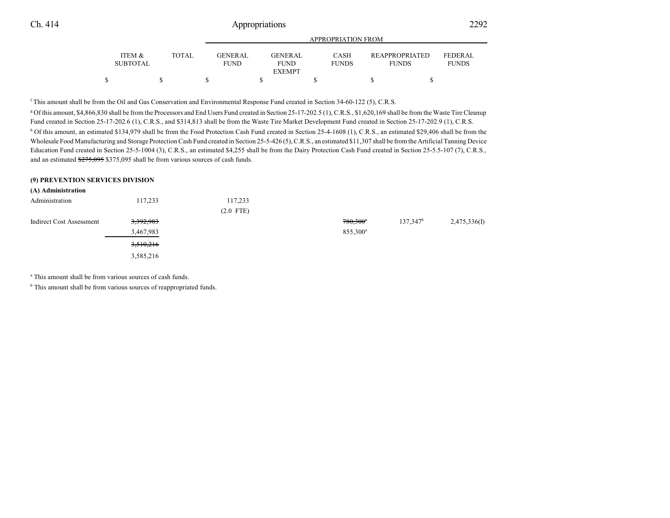|                                      |              | <b>APPROPRIATION FROM</b>     |  |                               |  |                             |  |                                       |                                |
|--------------------------------------|--------------|-------------------------------|--|-------------------------------|--|-----------------------------|--|---------------------------------------|--------------------------------|
| <b>ITEM &amp;</b><br><b>SUBTOTAL</b> | <b>TOTAL</b> | <b>GENERAL</b><br><b>FUND</b> |  | <b>GENERAL</b><br><b>FUND</b> |  | <b>CASH</b><br><b>FUNDS</b> |  | <b>REAPPROPRIATED</b><br><b>FUNDS</b> | <b>FEDERAL</b><br><b>FUNDS</b> |
|                                      |              |                               |  | <b>EXEMPT</b>                 |  |                             |  |                                       |                                |
|                                      |              |                               |  |                               |  |                             |  |                                       |                                |

f This amount shall be from the Oil and Gas Conservation and Environmental Response Fund created in Section 34-60-122 (5), C.R.S.

<sup>g</sup> Of this amount, \$4,866,830 shall be from the Processors and End Users Fund created in Section 25-17-202.5 (1), C.R.S., \$1,620,169 shall be from the Waste Tire Cleanup Fund created in Section 25-17-202.6 (1), C.R.S., and \$314,813 shall be from the Waste Tire Market Development Fund created in Section 25-17-202.9 (1), C.R.S. <sup>h</sup> Of this amount, an estimated \$134,979 shall be from the Food Protection Cash Fund created in Section 25-4-1608 (1), C.R.S., an estimated \$29,406 shall be from the Wholesale Food Manufacturing and Storage Protection Cash Fund created in Section 25-5-426 (5), C.R.S., an estimated \$11,307 shall be from the Artificial Tanning Device Education Fund created in Section 25-5-1004 (3), C.R.S., an estimated \$4,255 shall be from the Dairy Protection Cash Fund created in Section 25-5.5-107 (7), C.R.S., and an estimated \$275,095 \$375,095 shall be from various sources of cash funds.

#### **(9) PREVENTION SERVICES DIVISION**

| (A) Administration       |           |             |                      |             |              |
|--------------------------|-----------|-------------|----------------------|-------------|--------------|
| Administration           | 117,233   | 117,233     |                      |             |              |
|                          |           | $(2.0$ FTE) |                      |             |              |
| Indirect Cost Assessment | 3,392,983 |             | $780,300^*$          | $137,347^b$ | 2,475,336(I) |
|                          | 3,467,983 |             | 855,300 <sup>a</sup> |             |              |
|                          | 3,510,216 |             |                      |             |              |
|                          | 3,585,216 |             |                      |             |              |

a This amount shall be from various sources of cash funds.

<sup>b</sup> This amount shall be from various sources of reappropriated funds.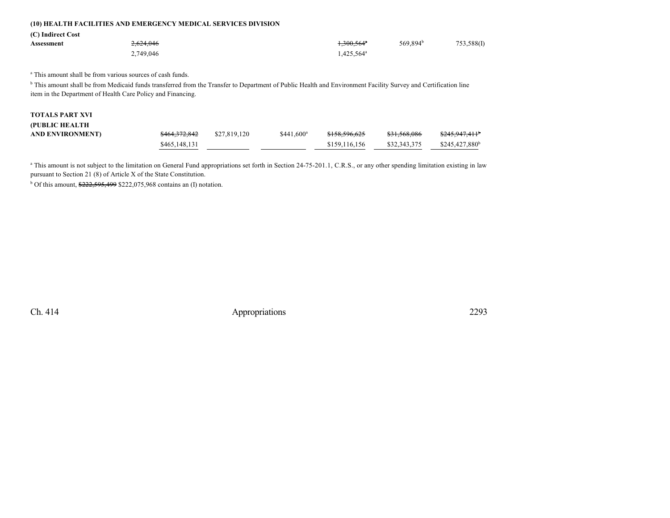### **(10) HEALTH FACILITIES AND EMERGENCY MEDICAL SERVICES DIVISION**

**(C) Indirect Cost**

| Assessment | <del>2,624,046</del> | $.300,564$ <sup>*</sup>          | 569,894 <sup>b</sup> | 753,588(I) |
|------------|----------------------|----------------------------------|----------------------|------------|
|            | 2,749,046            | $4.425.564^{\text{a}}$<br>$\sim$ |                      |            |

a This amount shall be from various sources of cash funds.

<sup>b</sup> This amount shall be from Medicaid funds transferred from the Transfer to Department of Public Health and Environment Facility Survey and Certification line item in the Department of Health Care Policy and Financing.

| <b>TOTALS PART XVI</b> |               |              |                         |               |              |                            |
|------------------------|---------------|--------------|-------------------------|---------------|--------------|----------------------------|
| (PUBLIC HEALTH         |               |              |                         |               |              |                            |
| AND ENVIRONMENT)       | \$464,372,842 | \$27,819,120 | $$441.600$ <sup>a</sup> | \$158,596,625 | \$31,568,086 | <del>\$245,947,411</del>   |
|                        | \$465,148,131 |              |                         | \$159,116,156 | \$32,343,375 | \$245,427,880 <sup>b</sup> |

<sup>a</sup> This amount is not subject to the limitation on General Fund appropriations set forth in Section 24-75-201.1, C.R.S., or any other spending limitation existing in law pursuant to Section 21 (8) of Article X of the State Constitution.

<sup>b</sup> Of this amount, \$222,595,499 \$222,075,968 contains an (I) notation.